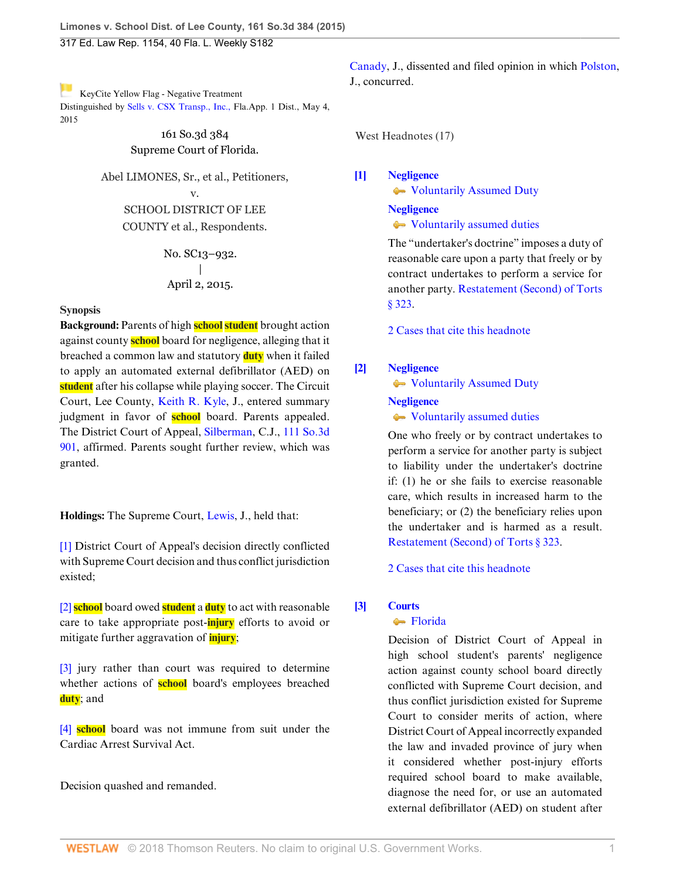[K](http://www.westlaw.com/Link/RelatedInformation/Flag?documentGuid=I4fba03cbd96211e4a795ac035416da91&transitionType=Document&originationContext=docHeaderFlag&contextData=(sc.Search))eyCite Yellow Flag - Negative Treatment Distinguished by [Sells v. CSX Transp., Inc.,](https://www.westlaw.com/Document/I888f3739f27511e4a807ad48145ed9f1/View/FullText.html?navigationPath=RelatedInfo%2Fv4%2Fkeycite%2Fnav%2F%3Fguid%3DI888f3739f27511e4a807ad48145ed9f1%26ss%3D2035738185%26ds%3D2036188214&listSource=RelatedInfo&list=NegativeCitingReferences&rank=0&originationContext=docHeader&transitionType=NegativeTreatment&contextData=%28sc.Search%29&VR=3.0&RS=cblt1.0 ) Fla.App. 1 Dist., May 4, 2015

## 161 So.3d 384 Supreme Court of Florida.

Abel LIMONES, Sr., et al., Petitioners,

v. SCHOOL DISTRICT OF LEE COUNTY et al., Respondents.

> No. SC13–932.  $\overline{ }$ April 2, 2015.

# **Synopsis**

**Background:** Parents of high **school student** brought action against county **school** board for negligence, alleging that it breached a common law and statutory **duty** when it failed to apply an automated external defibrillator (AED) on **student** after his collapse while playing soccer. The Circuit Court, Lee County, [Keith R. Kyle,](http://www.westlaw.com/Link/Document/FullText?findType=h&pubNum=176284&cite=0146587401&originatingDoc=I4fba03cbd96211e4a795ac035416da91&refType=RQ&originationContext=document&vr=3.0&rs=cblt1.0&transitionType=DocumentItem&contextData=(sc.Search)) J., entered summary judgment in favor of **school** board. Parents appealed. The District Court of Appeal, [Silberman](http://www.westlaw.com/Link/Document/FullText?findType=h&pubNum=176284&cite=0282461101&originatingDoc=I4fba03cbd96211e4a795ac035416da91&refType=RQ&originationContext=document&vr=3.0&rs=cblt1.0&transitionType=DocumentItem&contextData=(sc.Search)), C.J., [111 So.3d](http://www.westlaw.com/Link/Document/FullText?findType=Y&serNum=2029798103&pubNum=0003926&originatingDoc=I4fba03cbd96211e4a795ac035416da91&refType=RP&originationContext=document&vr=3.0&rs=cblt1.0&transitionType=DocumentItem&contextData=(sc.Search)) [901](http://www.westlaw.com/Link/Document/FullText?findType=Y&serNum=2029798103&pubNum=0003926&originatingDoc=I4fba03cbd96211e4a795ac035416da91&refType=RP&originationContext=document&vr=3.0&rs=cblt1.0&transitionType=DocumentItem&contextData=(sc.Search)), affirmed. Parents sought further review, which was granted.

**Holdings:** The Supreme Court, [Lewis](http://www.westlaw.com/Link/Document/FullText?findType=h&pubNum=176284&cite=0196387601&originatingDoc=I4fba03cbd96211e4a795ac035416da91&refType=RQ&originationContext=document&vr=3.0&rs=cblt1.0&transitionType=DocumentItem&contextData=(sc.Search)), J., held that:

[\[1\]](#page-0-0) District Court of Appeal's decision directly conflicted with Supreme Court decision and thus conflict jurisdiction existed;

[\[2\]](#page-2-0) **school** board owed **student** a **duty** to act with reasonable care to take appropriate post-**injury** efforts to avoid or mitigate further aggravation of **injury**;

[\[3\]](#page-2-1) jury rather than court was required to determine whether actions of **school** board's employees breached **duty**; and

[\[4\]](#page-2-2) **school** board was not immune from suit under the Cardiac Arrest Survival Act.

Decision quashed and remanded.

[Canady](http://www.westlaw.com/Link/Document/FullText?findType=h&pubNum=176284&cite=0202165601&originatingDoc=I4fba03cbd96211e4a795ac035416da91&refType=RQ&originationContext=document&vr=3.0&rs=cblt1.0&transitionType=DocumentItem&contextData=(sc.Search)), J., dissented and filed opinion in which [Polston](http://www.westlaw.com/Link/Document/FullText?findType=h&pubNum=176284&cite=0103849201&originatingDoc=I4fba03cbd96211e4a795ac035416da91&refType=RQ&originationContext=document&vr=3.0&rs=cblt1.0&transitionType=DocumentItem&contextData=(sc.Search)), J., concurred.

West Headnotes (17)

<span id="page-0-1"></span>**[\[1\]](#page-4-0) [Negligence](http://www.westlaw.com/Browse/Home/KeyNumber/272/View.html?docGuid=I4fba03cbd96211e4a795ac035416da91&originationContext=document&vr=3.0&rs=cblt1.0&transitionType=DocumentItem&contextData=(sc.Search))**

**Woluntarily Assumed Duty** 

# **[Negligence](http://www.westlaw.com/Browse/Home/KeyNumber/272/View.html?docGuid=I4fba03cbd96211e4a795ac035416da91&originationContext=document&vr=3.0&rs=cblt1.0&transitionType=DocumentItem&contextData=(sc.Search))**

[Voluntarily assumed duties](http://www.westlaw.com/Browse/Home/KeyNumber/272k234/View.html?docGuid=I4fba03cbd96211e4a795ac035416da91&originationContext=document&vr=3.0&rs=cblt1.0&transitionType=DocumentItem&contextData=(sc.Search))

The "undertaker's doctrine" imposes a duty of reasonable care upon a party that freely or by contract undertakes to perform a service for another party. [Restatement \(Second\) of Torts](http://www.westlaw.com/Link/Document/FullText?findType=Y&serNum=0290694065&pubNum=0101577&originatingDoc=I4fba03cbd96211e4a795ac035416da91&refType=TS&originationContext=document&vr=3.0&rs=cblt1.0&transitionType=DocumentItem&contextData=(sc.Search)) [§ 323.](http://www.westlaw.com/Link/Document/FullText?findType=Y&serNum=0290694065&pubNum=0101577&originatingDoc=I4fba03cbd96211e4a795ac035416da91&refType=TS&originationContext=document&vr=3.0&rs=cblt1.0&transitionType=DocumentItem&contextData=(sc.Search))

[2 Cases that cite this headnote](http://www.westlaw.com/Link/RelatedInformation/DocHeadnoteLink?docGuid=I4fba03cbd96211e4a795ac035416da91&headnoteId=203573818500120180125031641&originationContext=document&vr=3.0&rs=cblt1.0&transitionType=CitingReferences&contextData=(sc.Search))

# <span id="page-0-2"></span>**[\[2\]](#page-4-1) [Negligence](http://www.westlaw.com/Browse/Home/KeyNumber/272/View.html?docGuid=I4fba03cbd96211e4a795ac035416da91&originationContext=document&vr=3.0&rs=cblt1.0&transitionType=DocumentItem&contextData=(sc.Search))**

[Voluntarily Assumed Duty](http://www.westlaw.com/Browse/Home/KeyNumber/272k217/View.html?docGuid=I4fba03cbd96211e4a795ac035416da91&originationContext=document&vr=3.0&rs=cblt1.0&transitionType=DocumentItem&contextData=(sc.Search))

**[Negligence](http://www.westlaw.com/Browse/Home/KeyNumber/272/View.html?docGuid=I4fba03cbd96211e4a795ac035416da91&originationContext=document&vr=3.0&rs=cblt1.0&transitionType=DocumentItem&contextData=(sc.Search))**

 $\rightarrow$  [Voluntarily assumed duties](http://www.westlaw.com/Browse/Home/KeyNumber/272k234/View.html?docGuid=I4fba03cbd96211e4a795ac035416da91&originationContext=document&vr=3.0&rs=cblt1.0&transitionType=DocumentItem&contextData=(sc.Search))

One who freely or by contract undertakes to perform a service for another party is subject to liability under the undertaker's doctrine if: (1) he or she fails to exercise reasonable care, which results in increased harm to the beneficiary; or (2) the beneficiary relies upon the undertaker and is harmed as a result. [Restatement \(Second\) of Torts § 323.](http://www.westlaw.com/Link/Document/FullText?findType=Y&serNum=0290694065&pubNum=0101577&originatingDoc=I4fba03cbd96211e4a795ac035416da91&refType=TS&originationContext=document&vr=3.0&rs=cblt1.0&transitionType=DocumentItem&contextData=(sc.Search))

[2 Cases that cite this headnote](http://www.westlaw.com/Link/RelatedInformation/DocHeadnoteLink?docGuid=I4fba03cbd96211e4a795ac035416da91&headnoteId=203573818500220180125031641&originationContext=document&vr=3.0&rs=cblt1.0&transitionType=CitingReferences&contextData=(sc.Search))

# <span id="page-0-0"></span>**[\[3\]](#page-4-2) [Courts](http://www.westlaw.com/Browse/Home/KeyNumber/106/View.html?docGuid=I4fba03cbd96211e4a795ac035416da91&originationContext=document&vr=3.0&rs=cblt1.0&transitionType=DocumentItem&contextData=(sc.Search))**

# **[Florida](http://www.westlaw.com/Browse/Home/KeyNumber/106k216/View.html?docGuid=I4fba03cbd96211e4a795ac035416da91&originationContext=document&vr=3.0&rs=cblt1.0&transitionType=DocumentItem&contextData=(sc.Search))**

Decision of District Court of Appeal in high school student's parents' negligence action against county school board directly conflicted with Supreme Court decision, and thus conflict jurisdiction existed for Supreme Court to consider merits of action, where District Court of Appeal incorrectly expanded the law and invaded province of jury when it considered whether post-injury efforts required school board to make available, diagnose the need for, or use an automated external defibrillator (AED) on student after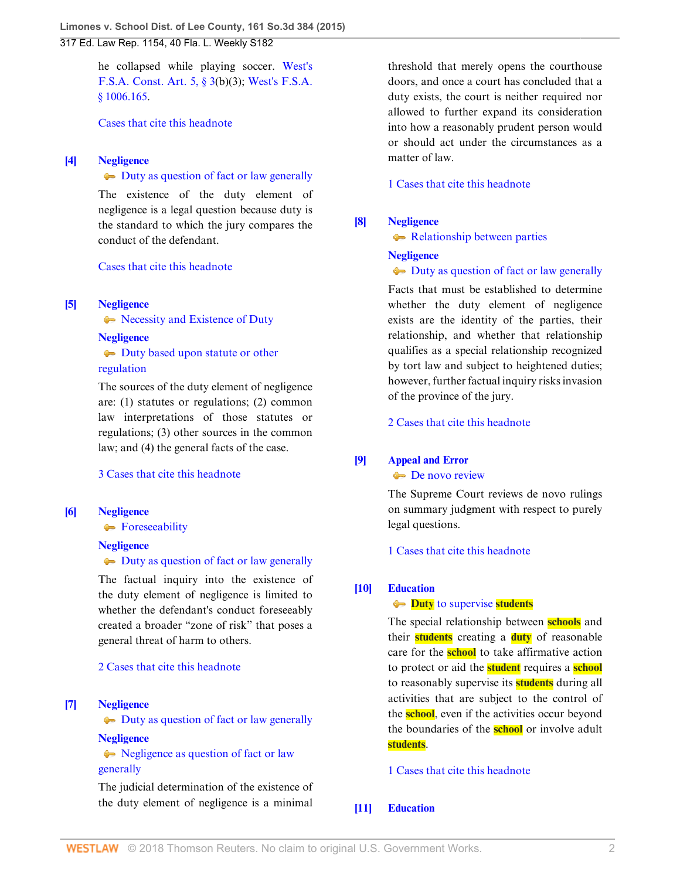he collapsed while playing soccer. [West's](http://www.westlaw.com/Link/Document/FullText?findType=L&pubNum=1000245&cite=FLCNART5S3&originatingDoc=I4fba03cbd96211e4a795ac035416da91&refType=LQ&originationContext=document&vr=3.0&rs=cblt1.0&transitionType=DocumentItem&contextData=(sc.Search)) [F.S.A. Const. Art. 5, § 3\(](http://www.westlaw.com/Link/Document/FullText?findType=L&pubNum=1000245&cite=FLCNART5S3&originatingDoc=I4fba03cbd96211e4a795ac035416da91&refType=LQ&originationContext=document&vr=3.0&rs=cblt1.0&transitionType=DocumentItem&contextData=(sc.Search))b)(3); [West's F.S.A.](http://www.westlaw.com/Link/Document/FullText?findType=L&pubNum=1000006&cite=FLSTS1006.165&originatingDoc=I4fba03cbd96211e4a795ac035416da91&refType=LQ&originationContext=document&vr=3.0&rs=cblt1.0&transitionType=DocumentItem&contextData=(sc.Search)) [§ 1006.165.](http://www.westlaw.com/Link/Document/FullText?findType=L&pubNum=1000006&cite=FLSTS1006.165&originatingDoc=I4fba03cbd96211e4a795ac035416da91&refType=LQ&originationContext=document&vr=3.0&rs=cblt1.0&transitionType=DocumentItem&contextData=(sc.Search))

[Cases that cite this headnote](http://www.westlaw.com/Link/RelatedInformation/DocHeadnoteLink?docGuid=I4fba03cbd96211e4a795ac035416da91&headnoteId=203573818500320180125031641&originationContext=document&vr=3.0&rs=cblt1.0&transitionType=CitingReferences&contextData=(sc.Search))

## <span id="page-1-0"></span>**[\[4\]](#page-4-3) [Negligence](http://www.westlaw.com/Browse/Home/KeyNumber/272/View.html?docGuid=I4fba03cbd96211e4a795ac035416da91&originationContext=document&vr=3.0&rs=cblt1.0&transitionType=DocumentItem&contextData=(sc.Search))**

[Duty as question of fact or law generally](http://www.westlaw.com/Browse/Home/KeyNumber/272k1692/View.html?docGuid=I4fba03cbd96211e4a795ac035416da91&originationContext=document&vr=3.0&rs=cblt1.0&transitionType=DocumentItem&contextData=(sc.Search))

The existence of the duty element of negligence is a legal question because duty is the standard to which the jury compares the conduct of the defendant.

[Cases that cite this headnote](http://www.westlaw.com/Link/RelatedInformation/DocHeadnoteLink?docGuid=I4fba03cbd96211e4a795ac035416da91&headnoteId=203573818500420180125031641&originationContext=document&vr=3.0&rs=cblt1.0&transitionType=CitingReferences&contextData=(sc.Search))

### <span id="page-1-1"></span>**[\[5\]](#page-4-4) [Negligence](http://www.westlaw.com/Browse/Home/KeyNumber/272/View.html?docGuid=I4fba03cbd96211e4a795ac035416da91&originationContext=document&vr=3.0&rs=cblt1.0&transitionType=DocumentItem&contextData=(sc.Search))**

• [Necessity and Existence of Duty](http://www.westlaw.com/Browse/Home/KeyNumber/272II/View.html?docGuid=I4fba03cbd96211e4a795ac035416da91&originationContext=document&vr=3.0&rs=cblt1.0&transitionType=DocumentItem&contextData=(sc.Search))

#### **[Negligence](http://www.westlaw.com/Browse/Home/KeyNumber/272/View.html?docGuid=I4fba03cbd96211e4a795ac035416da91&originationContext=document&vr=3.0&rs=cblt1.0&transitionType=DocumentItem&contextData=(sc.Search))**

 $\rightarrow$  [Duty based upon statute or other](http://www.westlaw.com/Browse/Home/KeyNumber/272k222/View.html?docGuid=I4fba03cbd96211e4a795ac035416da91&originationContext=document&vr=3.0&rs=cblt1.0&transitionType=DocumentItem&contextData=(sc.Search)) [regulation](http://www.westlaw.com/Browse/Home/KeyNumber/272k222/View.html?docGuid=I4fba03cbd96211e4a795ac035416da91&originationContext=document&vr=3.0&rs=cblt1.0&transitionType=DocumentItem&contextData=(sc.Search))

The sources of the duty element of negligence are: (1) statutes or regulations; (2) common law interpretations of those statutes or regulations; (3) other sources in the common law; and (4) the general facts of the case.

# [3 Cases that cite this headnote](http://www.westlaw.com/Link/RelatedInformation/DocHeadnoteLink?docGuid=I4fba03cbd96211e4a795ac035416da91&headnoteId=203573818500520180125031641&originationContext=document&vr=3.0&rs=cblt1.0&transitionType=CitingReferences&contextData=(sc.Search))

#### <span id="page-1-2"></span>**[\[6\]](#page-4-5) [Negligence](http://www.westlaw.com/Browse/Home/KeyNumber/272/View.html?docGuid=I4fba03cbd96211e4a795ac035416da91&originationContext=document&vr=3.0&rs=cblt1.0&transitionType=DocumentItem&contextData=(sc.Search))**

**[Foreseeability](http://www.westlaw.com/Browse/Home/KeyNumber/272k213/View.html?docGuid=I4fba03cbd96211e4a795ac035416da91&originationContext=document&vr=3.0&rs=cblt1.0&transitionType=DocumentItem&contextData=(sc.Search))** 

## **[Negligence](http://www.westlaw.com/Browse/Home/KeyNumber/272/View.html?docGuid=I4fba03cbd96211e4a795ac035416da91&originationContext=document&vr=3.0&rs=cblt1.0&transitionType=DocumentItem&contextData=(sc.Search))**

[Duty as question of fact or law generally](http://www.westlaw.com/Browse/Home/KeyNumber/272k1692/View.html?docGuid=I4fba03cbd96211e4a795ac035416da91&originationContext=document&vr=3.0&rs=cblt1.0&transitionType=DocumentItem&contextData=(sc.Search))

The factual inquiry into the existence of the duty element of negligence is limited to whether the defendant's conduct foreseeably created a broader "zone of risk" that poses a general threat of harm to others.

[2 Cases that cite this headnote](http://www.westlaw.com/Link/RelatedInformation/DocHeadnoteLink?docGuid=I4fba03cbd96211e4a795ac035416da91&headnoteId=203573818500620180125031641&originationContext=document&vr=3.0&rs=cblt1.0&transitionType=CitingReferences&contextData=(sc.Search))

<span id="page-1-3"></span>**[\[7\]](#page-4-6) [Negligence](http://www.westlaw.com/Browse/Home/KeyNumber/272/View.html?docGuid=I4fba03cbd96211e4a795ac035416da91&originationContext=document&vr=3.0&rs=cblt1.0&transitionType=DocumentItem&contextData=(sc.Search))**

[Duty as question of fact or law generally](http://www.westlaw.com/Browse/Home/KeyNumber/272k1692/View.html?docGuid=I4fba03cbd96211e4a795ac035416da91&originationContext=document&vr=3.0&rs=cblt1.0&transitionType=DocumentItem&contextData=(sc.Search)) **[Negligence](http://www.westlaw.com/Browse/Home/KeyNumber/272/View.html?docGuid=I4fba03cbd96211e4a795ac035416da91&originationContext=document&vr=3.0&rs=cblt1.0&transitionType=DocumentItem&contextData=(sc.Search))**

lacktriangleright [Negligence as question of fact or law](http://www.westlaw.com/Browse/Home/KeyNumber/272k1693/View.html?docGuid=I4fba03cbd96211e4a795ac035416da91&originationContext=document&vr=3.0&rs=cblt1.0&transitionType=DocumentItem&contextData=(sc.Search)) [generally](http://www.westlaw.com/Browse/Home/KeyNumber/272k1693/View.html?docGuid=I4fba03cbd96211e4a795ac035416da91&originationContext=document&vr=3.0&rs=cblt1.0&transitionType=DocumentItem&contextData=(sc.Search))

The judicial determination of the existence of the duty element of negligence is a minimal

threshold that merely opens the courthouse doors, and once a court has concluded that a duty exists, the court is neither required nor allowed to further expand its consideration into how a reasonably prudent person would or should act under the circumstances as a matter of law.

[1 Cases that cite this headnote](http://www.westlaw.com/Link/RelatedInformation/DocHeadnoteLink?docGuid=I4fba03cbd96211e4a795ac035416da91&headnoteId=203573818500720180125031641&originationContext=document&vr=3.0&rs=cblt1.0&transitionType=CitingReferences&contextData=(sc.Search))

## <span id="page-1-4"></span>**[\[8\]](#page-4-7) [Negligence](http://www.westlaw.com/Browse/Home/KeyNumber/272/View.html?docGuid=I4fba03cbd96211e4a795ac035416da91&originationContext=document&vr=3.0&rs=cblt1.0&transitionType=DocumentItem&contextData=(sc.Search))**

**[Relationship between parties](http://www.westlaw.com/Browse/Home/KeyNumber/272k214/View.html?docGuid=I4fba03cbd96211e4a795ac035416da91&originationContext=document&vr=3.0&rs=cblt1.0&transitionType=DocumentItem&contextData=(sc.Search))** 

**[Negligence](http://www.westlaw.com/Browse/Home/KeyNumber/272/View.html?docGuid=I4fba03cbd96211e4a795ac035416da91&originationContext=document&vr=3.0&rs=cblt1.0&transitionType=DocumentItem&contextData=(sc.Search))**

### [Duty as question of fact or law generally](http://www.westlaw.com/Browse/Home/KeyNumber/272k1692/View.html?docGuid=I4fba03cbd96211e4a795ac035416da91&originationContext=document&vr=3.0&rs=cblt1.0&transitionType=DocumentItem&contextData=(sc.Search))

Facts that must be established to determine whether the duty element of negligence exists are the identity of the parties, their relationship, and whether that relationship qualifies as a special relationship recognized by tort law and subject to heightened duties; however, further factual inquiry risks invasion of the province of the jury.

[2 Cases that cite this headnote](http://www.westlaw.com/Link/RelatedInformation/DocHeadnoteLink?docGuid=I4fba03cbd96211e4a795ac035416da91&headnoteId=203573818500820180125031641&originationContext=document&vr=3.0&rs=cblt1.0&transitionType=CitingReferences&contextData=(sc.Search))

## <span id="page-1-5"></span>**[\[9\]](#page-4-8) [Appeal and Error](http://www.westlaw.com/Browse/Home/KeyNumber/30/View.html?docGuid=I4fba03cbd96211e4a795ac035416da91&originationContext=document&vr=3.0&rs=cblt1.0&transitionType=DocumentItem&contextData=(sc.Search))**

## [De novo review](http://www.westlaw.com/Browse/Home/KeyNumber/30k3554/View.html?docGuid=I4fba03cbd96211e4a795ac035416da91&originationContext=document&vr=3.0&rs=cblt1.0&transitionType=DocumentItem&contextData=(sc.Search))

The Supreme Court reviews de novo rulings on summary judgment with respect to purely legal questions.

[1 Cases that cite this headnote](http://www.westlaw.com/Link/RelatedInformation/DocHeadnoteLink?docGuid=I4fba03cbd96211e4a795ac035416da91&headnoteId=203573818500920180125031641&originationContext=document&vr=3.0&rs=cblt1.0&transitionType=CitingReferences&contextData=(sc.Search))

## <span id="page-1-6"></span>**[\[10\]](#page-5-0) [Education](http://www.westlaw.com/Browse/Home/KeyNumber/141E/View.html?docGuid=I4fba03cbd96211e4a795ac035416da91&originationContext=document&vr=3.0&rs=cblt1.0&transitionType=DocumentItem&contextData=(sc.Search))**

## **<del>Duty</del>** [to supervise](http://www.westlaw.com/Browse/Home/KeyNumber/141Ek795/View.html?docGuid=I4fba03cbd96211e4a795ac035416da91&originationContext=document&vr=3.0&rs=cblt1.0&transitionType=DocumentItem&contextData=(sc.Search)) **students**

The special relationship between **schools** and their **students** creating a **duty** of reasonable care for the **school** to take affirmative action to protect or aid the **student** requires a **school** to reasonably supervise its **students** during all activities that are subject to the control of the **school**, even if the activities occur beyond the boundaries of the **school** or involve adult **students**.

[1 Cases that cite this headnote](http://www.westlaw.com/Link/RelatedInformation/DocHeadnoteLink?docGuid=I4fba03cbd96211e4a795ac035416da91&headnoteId=203573818501020180125031641&originationContext=document&vr=3.0&rs=cblt1.0&transitionType=CitingReferences&contextData=(sc.Search))

### <span id="page-1-7"></span>**[\[11\]](#page-5-1) [Education](http://www.westlaw.com/Browse/Home/KeyNumber/141E/View.html?docGuid=I4fba03cbd96211e4a795ac035416da91&originationContext=document&vr=3.0&rs=cblt1.0&transitionType=DocumentItem&contextData=(sc.Search))**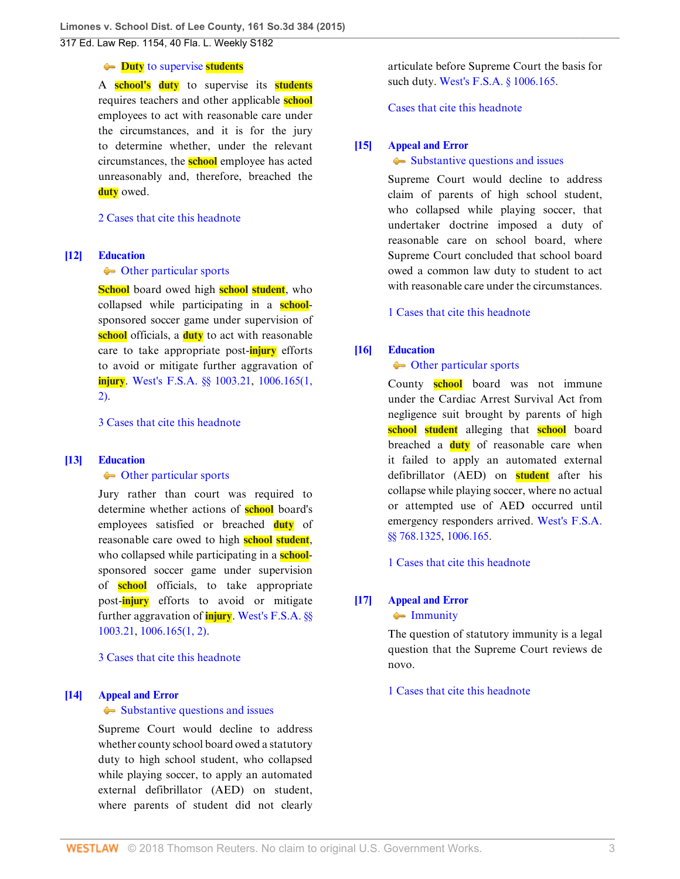**Limones v. School Dist. of Lee County, 161 So.3d 384 (2015)** 317 Ed. Law Rep. 1154, 40 Fla. L. Weekly S182

#### **<del>Duty</del>** [to supervise](http://www.westlaw.com/Browse/Home/KeyNumber/141Ek795/View.html?docGuid=I4fba03cbd96211e4a795ac035416da91&originationContext=document&vr=3.0&rs=cblt1.0&transitionType=DocumentItem&contextData=(sc.Search)) **students**

A **school's duty** to supervise its **students** requires teachers and other applicable **school** employees to act with reasonable care under the circumstances, and it is for the jury to determine whether, under the relevant circumstances, the **school** employee has acted unreasonably and, therefore, breached the **duty** owed.

## [2 Cases that cite this headnote](http://www.westlaw.com/Link/RelatedInformation/DocHeadnoteLink?docGuid=I4fba03cbd96211e4a795ac035416da91&headnoteId=203573818501120180125031641&originationContext=document&vr=3.0&rs=cblt1.0&transitionType=CitingReferences&contextData=(sc.Search))

#### <span id="page-2-0"></span>**[\[12\]](#page-5-2) [Education](http://www.westlaw.com/Browse/Home/KeyNumber/141E/View.html?docGuid=I4fba03cbd96211e4a795ac035416da91&originationContext=document&vr=3.0&rs=cblt1.0&transitionType=DocumentItem&contextData=(sc.Search))**

#### • [Other particular sports](http://www.westlaw.com/Browse/Home/KeyNumber/141Ek805(9)/View.html?docGuid=I4fba03cbd96211e4a795ac035416da91&originationContext=document&vr=3.0&rs=cblt1.0&transitionType=DocumentItem&contextData=(sc.Search))

**School** board owed high **school student**, who collapsed while participating in a **school**sponsored soccer game under supervision of **school** officials, a **duty** to act with reasonable care to take appropriate post-**injury** efforts to avoid or mitigate further aggravation of **injury**. [West's F.S.A. §§ 1003.21](http://www.westlaw.com/Link/Document/FullText?findType=L&pubNum=1000006&cite=FLSTS1003.21&originatingDoc=I4fba03cbd96211e4a795ac035416da91&refType=LQ&originationContext=document&vr=3.0&rs=cblt1.0&transitionType=DocumentItem&contextData=(sc.Search)), [1006.165\(1,](http://www.westlaw.com/Link/Document/FullText?findType=L&pubNum=1000006&cite=FLSTS1006.165&originatingDoc=I4fba03cbd96211e4a795ac035416da91&refType=LQ&originationContext=document&vr=3.0&rs=cblt1.0&transitionType=DocumentItem&contextData=(sc.Search)) [2\).](http://www.westlaw.com/Link/Document/FullText?findType=L&pubNum=1000006&cite=FLSTS1006.165&originatingDoc=I4fba03cbd96211e4a795ac035416da91&refType=LQ&originationContext=document&vr=3.0&rs=cblt1.0&transitionType=DocumentItem&contextData=(sc.Search))

[3 Cases that cite this headnote](http://www.westlaw.com/Link/RelatedInformation/DocHeadnoteLink?docGuid=I4fba03cbd96211e4a795ac035416da91&headnoteId=203573818501220180125031641&originationContext=document&vr=3.0&rs=cblt1.0&transitionType=CitingReferences&contextData=(sc.Search))

### <span id="page-2-1"></span>**[\[13\]](#page-5-3) [Education](http://www.westlaw.com/Browse/Home/KeyNumber/141E/View.html?docGuid=I4fba03cbd96211e4a795ac035416da91&originationContext=document&vr=3.0&rs=cblt1.0&transitionType=DocumentItem&contextData=(sc.Search))**

#### • [Other particular sports](http://www.westlaw.com/Browse/Home/KeyNumber/141Ek805(9)/View.html?docGuid=I4fba03cbd96211e4a795ac035416da91&originationContext=document&vr=3.0&rs=cblt1.0&transitionType=DocumentItem&contextData=(sc.Search))

Jury rather than court was required to determine whether actions of **school** board's employees satisfied or breached **duty** of reasonable care owed to high **school student**, who collapsed while participating in a **school**sponsored soccer game under supervision of **school** officials, to take appropriate post-**injury** efforts to avoid or mitigate further aggravation of **injury**. [West's F.S.A. §§](http://www.westlaw.com/Link/Document/FullText?findType=L&pubNum=1000006&cite=FLSTS1003.21&originatingDoc=I4fba03cbd96211e4a795ac035416da91&refType=LQ&originationContext=document&vr=3.0&rs=cblt1.0&transitionType=DocumentItem&contextData=(sc.Search)) [1003.21](http://www.westlaw.com/Link/Document/FullText?findType=L&pubNum=1000006&cite=FLSTS1003.21&originatingDoc=I4fba03cbd96211e4a795ac035416da91&refType=LQ&originationContext=document&vr=3.0&rs=cblt1.0&transitionType=DocumentItem&contextData=(sc.Search)), [1006.165\(1, 2\)](http://www.westlaw.com/Link/Document/FullText?findType=L&pubNum=1000006&cite=FLSTS1006.165&originatingDoc=I4fba03cbd96211e4a795ac035416da91&refType=LQ&originationContext=document&vr=3.0&rs=cblt1.0&transitionType=DocumentItem&contextData=(sc.Search)).

[3 Cases that cite this headnote](http://www.westlaw.com/Link/RelatedInformation/DocHeadnoteLink?docGuid=I4fba03cbd96211e4a795ac035416da91&headnoteId=203573818501320180125031641&originationContext=document&vr=3.0&rs=cblt1.0&transitionType=CitingReferences&contextData=(sc.Search))

### <span id="page-2-3"></span>**[\[14\]](#page-6-0) [Appeal and Error](http://www.westlaw.com/Browse/Home/KeyNumber/30/View.html?docGuid=I4fba03cbd96211e4a795ac035416da91&originationContext=document&vr=3.0&rs=cblt1.0&transitionType=DocumentItem&contextData=(sc.Search))**

#### • [Substantive questions and issues](http://www.westlaw.com/Browse/Home/KeyNumber/30k3043/View.html?docGuid=I4fba03cbd96211e4a795ac035416da91&originationContext=document&vr=3.0&rs=cblt1.0&transitionType=DocumentItem&contextData=(sc.Search))

Supreme Court would decline to address whether county school board owed a statutory duty to high school student, who collapsed while playing soccer, to apply an automated external defibrillator (AED) on student, where parents of student did not clearly articulate before Supreme Court the basis for such duty. [West's F.S.A. § 1006.165](http://www.westlaw.com/Link/Document/FullText?findType=L&pubNum=1000006&cite=FLSTS1006.165&originatingDoc=I4fba03cbd96211e4a795ac035416da91&refType=LQ&originationContext=document&vr=3.0&rs=cblt1.0&transitionType=DocumentItem&contextData=(sc.Search)).

[Cases that cite this headnote](http://www.westlaw.com/Link/RelatedInformation/DocHeadnoteLink?docGuid=I4fba03cbd96211e4a795ac035416da91&headnoteId=203573818501420180125031641&originationContext=document&vr=3.0&rs=cblt1.0&transitionType=CitingReferences&contextData=(sc.Search))

## <span id="page-2-4"></span>**[\[15\]](#page-6-1) [Appeal and Error](http://www.westlaw.com/Browse/Home/KeyNumber/30/View.html?docGuid=I4fba03cbd96211e4a795ac035416da91&originationContext=document&vr=3.0&rs=cblt1.0&transitionType=DocumentItem&contextData=(sc.Search))**

#### • [Substantive questions and issues](http://www.westlaw.com/Browse/Home/KeyNumber/30k3043/View.html?docGuid=I4fba03cbd96211e4a795ac035416da91&originationContext=document&vr=3.0&rs=cblt1.0&transitionType=DocumentItem&contextData=(sc.Search))

Supreme Court would decline to address claim of parents of high school student, who collapsed while playing soccer, that undertaker doctrine imposed a duty of reasonable care on school board, where Supreme Court concluded that school board owed a common law duty to student to act with reasonable care under the circumstances.

[1 Cases that cite this headnote](http://www.westlaw.com/Link/RelatedInformation/DocHeadnoteLink?docGuid=I4fba03cbd96211e4a795ac035416da91&headnoteId=203573818501520180125031641&originationContext=document&vr=3.0&rs=cblt1.0&transitionType=CitingReferences&contextData=(sc.Search))

## <span id="page-2-2"></span>**[\[16\]](#page-7-0) [Education](http://www.westlaw.com/Browse/Home/KeyNumber/141E/View.html?docGuid=I4fba03cbd96211e4a795ac035416da91&originationContext=document&vr=3.0&rs=cblt1.0&transitionType=DocumentItem&contextData=(sc.Search))**

## • [Other particular sports](http://www.westlaw.com/Browse/Home/KeyNumber/141Ek805(9)/View.html?docGuid=I4fba03cbd96211e4a795ac035416da91&originationContext=document&vr=3.0&rs=cblt1.0&transitionType=DocumentItem&contextData=(sc.Search))

County **school** board was not immune under the Cardiac Arrest Survival Act from negligence suit brought by parents of high **school student** alleging that **school** board breached a **duty** of reasonable care when it failed to apply an automated external defibrillator (AED) on **student** after his collapse while playing soccer, where no actual or attempted use of AED occurred until emergency responders arrived. [West's F.S.A.](http://www.westlaw.com/Link/Document/FullText?findType=L&pubNum=1000006&cite=FLSTS768.1325&originatingDoc=I4fba03cbd96211e4a795ac035416da91&refType=LQ&originationContext=document&vr=3.0&rs=cblt1.0&transitionType=DocumentItem&contextData=(sc.Search)) [§§ 768.1325](http://www.westlaw.com/Link/Document/FullText?findType=L&pubNum=1000006&cite=FLSTS768.1325&originatingDoc=I4fba03cbd96211e4a795ac035416da91&refType=LQ&originationContext=document&vr=3.0&rs=cblt1.0&transitionType=DocumentItem&contextData=(sc.Search)), [1006.165](http://www.westlaw.com/Link/Document/FullText?findType=L&pubNum=1000006&cite=FLSTS1006.165&originatingDoc=I4fba03cbd96211e4a795ac035416da91&refType=LQ&originationContext=document&vr=3.0&rs=cblt1.0&transitionType=DocumentItem&contextData=(sc.Search)).

[1 Cases that cite this headnote](http://www.westlaw.com/Link/RelatedInformation/DocHeadnoteLink?docGuid=I4fba03cbd96211e4a795ac035416da91&headnoteId=203573818501620180125031641&originationContext=document&vr=3.0&rs=cblt1.0&transitionType=CitingReferences&contextData=(sc.Search))

# <span id="page-2-5"></span>**[\[17\]](#page-7-1) [Appeal and Error](http://www.westlaw.com/Browse/Home/KeyNumber/30/View.html?docGuid=I4fba03cbd96211e4a795ac035416da91&originationContext=document&vr=3.0&rs=cblt1.0&transitionType=DocumentItem&contextData=(sc.Search))**

# • [Immunity](http://www.westlaw.com/Browse/Home/KeyNumber/30k3750/View.html?docGuid=I4fba03cbd96211e4a795ac035416da91&originationContext=document&vr=3.0&rs=cblt1.0&transitionType=DocumentItem&contextData=(sc.Search))

The question of statutory immunity is a legal question that the Supreme Court reviews de novo.

[1 Cases that cite this headnote](http://www.westlaw.com/Link/RelatedInformation/DocHeadnoteLink?docGuid=I4fba03cbd96211e4a795ac035416da91&headnoteId=203573818501720180125031641&originationContext=document&vr=3.0&rs=cblt1.0&transitionType=CitingReferences&contextData=(sc.Search))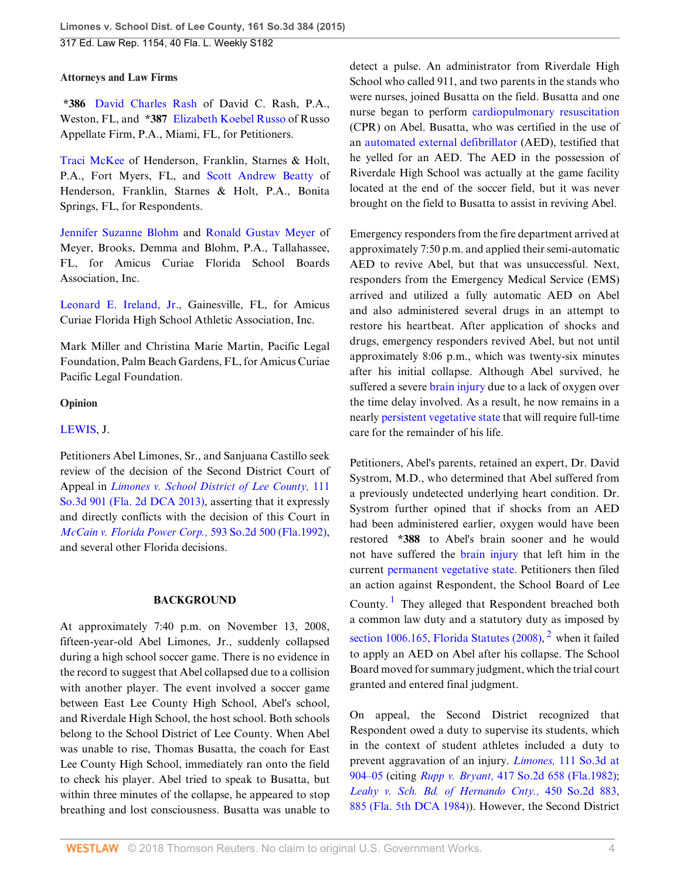## **Attorneys and Law Firms**

**\*386** [David Charles Rash](http://www.westlaw.com/Link/Document/FullText?findType=h&pubNum=176284&cite=0293206701&originatingDoc=I4fba03cbd96211e4a795ac035416da91&refType=RQ&originationContext=document&vr=3.0&rs=cblt1.0&transitionType=DocumentItem&contextData=(sc.Search)) of David C. Rash, P.A., Weston, FL, and **\*387** [Elizabeth Koebel Russo](http://www.westlaw.com/Link/Document/FullText?findType=h&pubNum=176284&cite=0199935301&originatingDoc=I4fba03cbd96211e4a795ac035416da91&refType=RQ&originationContext=document&vr=3.0&rs=cblt1.0&transitionType=DocumentItem&contextData=(sc.Search)) of Russo Appellate Firm, P.A., Miami, FL, for Petitioners.

[Traci McKee](http://www.westlaw.com/Link/Document/FullText?findType=h&pubNum=176284&cite=0410168201&originatingDoc=I4fba03cbd96211e4a795ac035416da91&refType=RQ&originationContext=document&vr=3.0&rs=cblt1.0&transitionType=DocumentItem&contextData=(sc.Search)) of Henderson, Franklin, Starnes & Holt, P.A., Fort Myers, FL, and [Scott Andrew Beatty](http://www.westlaw.com/Link/Document/FullText?findType=h&pubNum=176284&cite=0229145801&originatingDoc=I4fba03cbd96211e4a795ac035416da91&refType=RQ&originationContext=document&vr=3.0&rs=cblt1.0&transitionType=DocumentItem&contextData=(sc.Search)) of Henderson, Franklin, Starnes & Holt, P.A., Bonita Springs, FL, for Respondents.

[Jennifer Suzanne Blohm](http://www.westlaw.com/Link/Document/FullText?findType=h&pubNum=176284&cite=0248139301&originatingDoc=I4fba03cbd96211e4a795ac035416da91&refType=RQ&originationContext=document&vr=3.0&rs=cblt1.0&transitionType=DocumentItem&contextData=(sc.Search)) and [Ronald Gustav Meyer](http://www.westlaw.com/Link/Document/FullText?findType=h&pubNum=176284&cite=0196380201&originatingDoc=I4fba03cbd96211e4a795ac035416da91&refType=RQ&originationContext=document&vr=3.0&rs=cblt1.0&transitionType=DocumentItem&contextData=(sc.Search)) of Meyer, Brooks, Demma and Blohm, P.A., Tallahassee, FL, for Amicus Curiae Florida School Boards Association, Inc.

[Leonard E. Ireland, Jr.,](http://www.westlaw.com/Link/Document/FullText?findType=h&pubNum=176284&cite=0231022301&originatingDoc=I4fba03cbd96211e4a795ac035416da91&refType=RQ&originationContext=document&vr=3.0&rs=cblt1.0&transitionType=DocumentItem&contextData=(sc.Search)) Gainesville, FL, for Amicus Curiae Florida High School Athletic Association, Inc.

Mark Miller and Christina Marie Martin, Pacific Legal Foundation, Palm Beach Gardens, FL, for Amicus Curiae Pacific Legal Foundation.

## **Opinion**

## [LEWIS,](http://www.westlaw.com/Link/Document/FullText?findType=h&pubNum=176284&cite=0196387601&originatingDoc=I4fba03cbd96211e4a795ac035416da91&refType=RQ&originationContext=document&vr=3.0&rs=cblt1.0&transitionType=DocumentItem&contextData=(sc.Search)) J.

Petitioners Abel Limones, Sr., and Sanjuana Castillo seek review of the decision of the Second District Court of Appeal in *[Limones v. School District of Lee County,](http://www.westlaw.com/Link/Document/FullText?findType=Y&serNum=2029798103&pubNum=0003926&originatingDoc=I4fba03cbd96211e4a795ac035416da91&refType=RP&originationContext=document&vr=3.0&rs=cblt1.0&transitionType=DocumentItem&contextData=(sc.Search))* 111 [So.3d 901 \(Fla. 2d DCA 2013\)](http://www.westlaw.com/Link/Document/FullText?findType=Y&serNum=2029798103&pubNum=0003926&originatingDoc=I4fba03cbd96211e4a795ac035416da91&refType=RP&originationContext=document&vr=3.0&rs=cblt1.0&transitionType=DocumentItem&contextData=(sc.Search)), asserting that it expressly and directly conflicts with the decision of this Court in *[McCain v. Florida Power Corp.,](http://www.westlaw.com/Link/Document/FullText?findType=Y&serNum=1992030830&pubNum=0000735&originatingDoc=I4fba03cbd96211e4a795ac035416da91&refType=RP&originationContext=document&vr=3.0&rs=cblt1.0&transitionType=DocumentItem&contextData=(sc.Search))* 593 So.2d 500 (Fla.1992), and several other Florida decisions.

### **BACKGROUND**

At approximately 7:40 p.m. on November 13, 2008, fifteen-year-old Abel Limones, Jr., suddenly collapsed during a high school soccer game. There is no evidence in the record to suggest that Abel collapsed due to a collision with another player. The event involved a soccer game between East Lee County High School, Abel's school, and Riverdale High School, the host school. Both schools belong to the School District of Lee County. When Abel was unable to rise, Thomas Busatta, the coach for East Lee County High School, immediately ran onto the field to check his player. Abel tried to speak to Busatta, but within three minutes of the collapse, he appeared to stop breathing and lost consciousness. Busatta was unable to detect a pulse. An administrator from Riverdale High School who called 911, and two parents in the stands who were nurses, joined Busatta on the field. Busatta and one nurse began to perform [cardiopulmonary resuscitation](http://www.westlaw.com/Link/Document/FullText?entityType=mproc&entityId=Ibb57ccc6475411db9765f9243f53508a&originationContext=document&transitionType=DocumentItem&contextData=(sc.Default)&vr=3.0&rs=cblt1.0) (CPR) on Abel. Busatta, who was certified in the use of an [automated external defibrillator](http://www.westlaw.com/Link/Document/FullText?entityType=mdev&entityId=Ic53a03e1475411db9765f9243f53508a&originationContext=document&transitionType=DocumentItem&contextData=(sc.Default)&vr=3.0&rs=cblt1.0) (AED), testified that he yelled for an AED. The AED in the possession of Riverdale High School was actually at the game facility located at the end of the soccer field, but it was never brought on the field to Busatta to assist in reviving Abel.

Emergency responders from the fire department arrived at approximately 7:50 p.m. and applied their semi-automatic AED to revive Abel, but that was unsuccessful. Next, responders from the Emergency Medical Service (EMS) arrived and utilized a fully automatic AED on Abel and also administered several drugs in an attempt to restore his heartbeat. After application of shocks and drugs, emergency responders revived Abel, but not until approximately 8:06 p.m., which was twenty-six minutes after his initial collapse. Although Abel survived, he suffered a severe [brain injury](http://www.westlaw.com/Link/Document/FullText?entityType=injury&entityId=Iaf351cbb475411db9765f9243f53508a&originationContext=document&transitionType=DocumentItem&contextData=(sc.Default)&vr=3.0&rs=cblt1.0) due to a lack of oxygen over the time delay involved. As a result, he now remains in a nearly [persistent vegetative state](http://www.westlaw.com/Link/Document/FullText?entityType=disease&entityId=Iaeee0193475411db9765f9243f53508a&originationContext=document&transitionType=DocumentItem&contextData=(sc.Default)&vr=3.0&rs=cblt1.0) that will require full-time care for the remainder of his life.

Petitioners, Abel's parents, retained an expert, Dr. David Systrom, M.D., who determined that Abel suffered from a previously undetected underlying heart condition. Dr. Systrom further opined that if shocks from an AED had been administered earlier, oxygen would have been restored **\*388** to Abel's brain sooner and he would not have suffered the [brain injury](http://www.westlaw.com/Link/Document/FullText?entityType=injury&entityId=Iaf351cbb475411db9765f9243f53508a&originationContext=document&transitionType=DocumentItem&contextData=(sc.Default)&vr=3.0&rs=cblt1.0) that left him in the current [permanent vegetative state](http://www.westlaw.com/Link/Document/FullText?entityType=disease&entityId=Ib7786fd1475411db9765f9243f53508a&originationContext=document&transitionType=DocumentItem&contextData=(sc.Default)&vr=3.0&rs=cblt1.0). Petitioners then filed an action against Respondent, the School Board of Lee County.<sup>[1](#page-8-0)</sup> They alleged that Respondent breached both a common law duty and a statutory duty as imposed by section 1006.165, Florida Statutes  $(2008)$  $(2008)$  $(2008)$ ,  $^2$  when it failed to apply an AED on Abel after his collapse. The School Board moved for summary judgment, which the trial court granted and entered final judgment.

<span id="page-3-1"></span><span id="page-3-0"></span>On appeal, the Second District recognized that Respondent owed a duty to supervise its students, which in the context of student athletes included a duty to prevent aggravation of an injury. *Limones,* [111 So.3d at](http://www.westlaw.com/Link/Document/FullText?findType=Y&serNum=2029798103&pubNum=0003926&originatingDoc=I4fba03cbd96211e4a795ac035416da91&refType=RP&fi=co_pp_sp_3926_904&originationContext=document&vr=3.0&rs=cblt1.0&transitionType=DocumentItem&contextData=(sc.Search)#co_pp_sp_3926_904) [904–05](http://www.westlaw.com/Link/Document/FullText?findType=Y&serNum=2029798103&pubNum=0003926&originatingDoc=I4fba03cbd96211e4a795ac035416da91&refType=RP&fi=co_pp_sp_3926_904&originationContext=document&vr=3.0&rs=cblt1.0&transitionType=DocumentItem&contextData=(sc.Search)#co_pp_sp_3926_904) (citing *Rupp v. Bryant,* [417 So.2d 658 \(Fla.1982\)](http://www.westlaw.com/Link/Document/FullText?findType=Y&serNum=1982133441&pubNum=0000735&originatingDoc=I4fba03cbd96211e4a795ac035416da91&refType=RP&originationContext=document&vr=3.0&rs=cblt1.0&transitionType=DocumentItem&contextData=(sc.Search)); *[Leahy v. Sch. Bd. of Hernando Cnty.,](http://www.westlaw.com/Link/Document/FullText?findType=Y&serNum=1984122926&pubNum=0000735&originatingDoc=I4fba03cbd96211e4a795ac035416da91&refType=RP&fi=co_pp_sp_735_885&originationContext=document&vr=3.0&rs=cblt1.0&transitionType=DocumentItem&contextData=(sc.Search)#co_pp_sp_735_885)* 450 So.2d 883, [885 \(Fla. 5th DCA 1984\)](http://www.westlaw.com/Link/Document/FullText?findType=Y&serNum=1984122926&pubNum=0000735&originatingDoc=I4fba03cbd96211e4a795ac035416da91&refType=RP&fi=co_pp_sp_735_885&originationContext=document&vr=3.0&rs=cblt1.0&transitionType=DocumentItem&contextData=(sc.Search)#co_pp_sp_735_885)). However, the Second District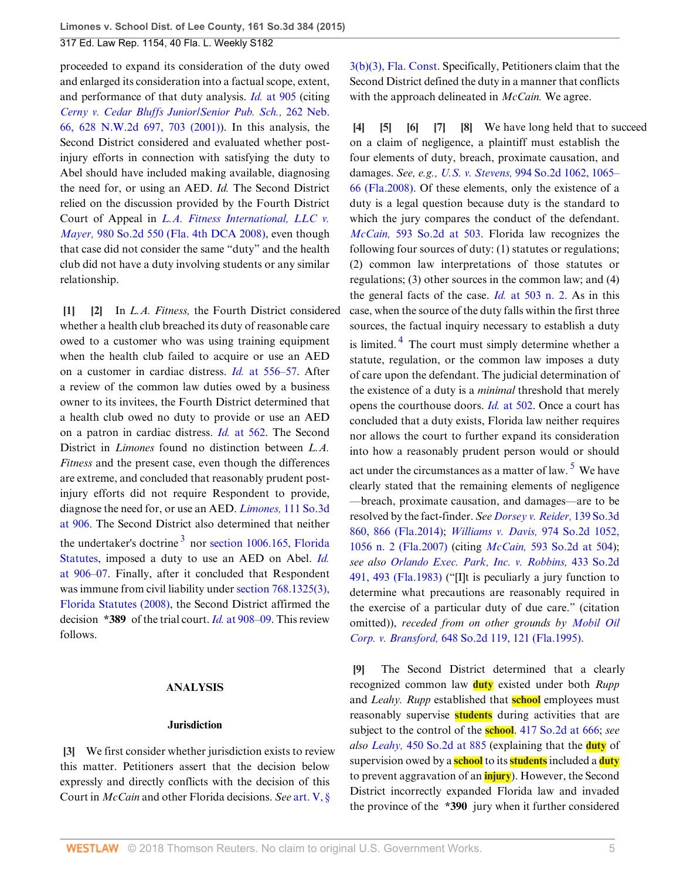proceeded to expand its consideration of the duty owed and enlarged its consideration into a factual scope, extent, and performance of that duty analysis. *Id.* [at 905](http://www.westlaw.com/Link/Document/FullText?findType=Y&serNum=2029798103&pubNum=0003926&originatingDoc=I4fba03cbd96211e4a795ac035416da91&refType=RP&fi=co_pp_sp_3926_905&originationContext=document&vr=3.0&rs=cblt1.0&transitionType=DocumentItem&contextData=(sc.Search)#co_pp_sp_3926_905) (citing *[Cerny v. Cedar Bluffs Junior/Senior Pub. Sch.,](http://www.westlaw.com/Link/Document/FullText?findType=Y&serNum=2001553321&pubNum=0000595&originatingDoc=I4fba03cbd96211e4a795ac035416da91&refType=RP&fi=co_pp_sp_595_703&originationContext=document&vr=3.0&rs=cblt1.0&transitionType=DocumentItem&contextData=(sc.Search)#co_pp_sp_595_703)* 262 Neb. [66, 628 N.W.2d 697, 703 \(2001\)](http://www.westlaw.com/Link/Document/FullText?findType=Y&serNum=2001553321&pubNum=0000595&originatingDoc=I4fba03cbd96211e4a795ac035416da91&refType=RP&fi=co_pp_sp_595_703&originationContext=document&vr=3.0&rs=cblt1.0&transitionType=DocumentItem&contextData=(sc.Search)#co_pp_sp_595_703)). In this analysis, the Second District considered and evaluated whether postinjury efforts in connection with satisfying the duty to Abel should have included making available, diagnosing the need for, or using an AED. *Id.* The Second District relied on the discussion provided by the Fourth District Court of Appeal in *[L.A. Fitness International, LLC v.](http://www.westlaw.com/Link/Document/FullText?findType=Y&serNum=2015861056&pubNum=0000735&originatingDoc=I4fba03cbd96211e4a795ac035416da91&refType=RP&originationContext=document&vr=3.0&rs=cblt1.0&transitionType=DocumentItem&contextData=(sc.Search)) Mayer,* [980 So.2d 550 \(Fla. 4th DCA 2008\)](http://www.westlaw.com/Link/Document/FullText?findType=Y&serNum=2015861056&pubNum=0000735&originatingDoc=I4fba03cbd96211e4a795ac035416da91&refType=RP&originationContext=document&vr=3.0&rs=cblt1.0&transitionType=DocumentItem&contextData=(sc.Search)), even though that case did not consider the same "duty" and the health club did not have a duty involving students or any similar relationship.

<span id="page-4-1"></span><span id="page-4-0"></span>**[\[1](#page-0-1)] [\[2](#page-0-2)]** In *L.A. Fitness,* the Fourth District considered whether a health club breached its duty of reasonable care owed to a customer who was using training equipment when the health club failed to acquire or use an AED on a customer in cardiac distress. *Id.* [at 556–57](http://www.westlaw.com/Link/Document/FullText?findType=Y&serNum=2015861056&pubNum=0000735&originatingDoc=I4fba03cbd96211e4a795ac035416da91&refType=RP&fi=co_pp_sp_735_556&originationContext=document&vr=3.0&rs=cblt1.0&transitionType=DocumentItem&contextData=(sc.Search)#co_pp_sp_735_556). After a review of the common law duties owed by a business owner to its invitees, the Fourth District determined that a health club owed no duty to provide or use an AED on a patron in cardiac distress. *Id.* [at 562.](http://www.westlaw.com/Link/Document/FullText?findType=Y&serNum=2015861056&pubNum=0000735&originatingDoc=I4fba03cbd96211e4a795ac035416da91&refType=RP&fi=co_pp_sp_735_562&originationContext=document&vr=3.0&rs=cblt1.0&transitionType=DocumentItem&contextData=(sc.Search)#co_pp_sp_735_562) The Second District in *Limones* found no distinction between *L.A. Fitness* and the present case, even though the differences are extreme, and concluded that reasonably prudent postinjury efforts did not require Respondent to provide, diagnose the need for, or use an AED. *Limones,* [111 So.3d](http://www.westlaw.com/Link/Document/FullText?findType=Y&serNum=2029798103&pubNum=0003926&originatingDoc=I4fba03cbd96211e4a795ac035416da91&refType=RP&fi=co_pp_sp_3926_906&originationContext=document&vr=3.0&rs=cblt1.0&transitionType=DocumentItem&contextData=(sc.Search)#co_pp_sp_3926_906) [at 906.](http://www.westlaw.com/Link/Document/FullText?findType=Y&serNum=2029798103&pubNum=0003926&originatingDoc=I4fba03cbd96211e4a795ac035416da91&refType=RP&fi=co_pp_sp_3926_906&originationContext=document&vr=3.0&rs=cblt1.0&transitionType=DocumentItem&contextData=(sc.Search)#co_pp_sp_3926_906) The Second District also determined that neither the undertaker's doctrine<sup>[3](#page-8-2)</sup> nor [section 1006.165, Florida](http://www.westlaw.com/Link/Document/FullText?findType=L&pubNum=1000006&cite=FLSTS1006.165&originatingDoc=I4fba03cbd96211e4a795ac035416da91&refType=LQ&originationContext=document&vr=3.0&rs=cblt1.0&transitionType=DocumentItem&contextData=(sc.Search)) [Statutes](http://www.westlaw.com/Link/Document/FullText?findType=L&pubNum=1000006&cite=FLSTS1006.165&originatingDoc=I4fba03cbd96211e4a795ac035416da91&refType=LQ&originationContext=document&vr=3.0&rs=cblt1.0&transitionType=DocumentItem&contextData=(sc.Search)), imposed a duty to use an AED on Abel. *[Id.](http://www.westlaw.com/Link/Document/FullText?findType=Y&serNum=2029798103&pubNum=0003926&originatingDoc=I4fba03cbd96211e4a795ac035416da91&refType=RP&fi=co_pp_sp_3926_906&originationContext=document&vr=3.0&rs=cblt1.0&transitionType=DocumentItem&contextData=(sc.Search)#co_pp_sp_3926_906)* [at 906–07.](http://www.westlaw.com/Link/Document/FullText?findType=Y&serNum=2029798103&pubNum=0003926&originatingDoc=I4fba03cbd96211e4a795ac035416da91&refType=RP&fi=co_pp_sp_3926_906&originationContext=document&vr=3.0&rs=cblt1.0&transitionType=DocumentItem&contextData=(sc.Search)#co_pp_sp_3926_906) Finally, after it concluded that Respondent was immune from civil liability under [section 768.1325\(3\),](http://www.westlaw.com/Link/Document/FullText?findType=L&pubNum=1000006&cite=FLSTS768.1325&originatingDoc=I4fba03cbd96211e4a795ac035416da91&refType=SP&originationContext=document&vr=3.0&rs=cblt1.0&transitionType=DocumentItem&contextData=(sc.Search)#co_pp_d08f0000f5f67) [Florida Statutes \(2008\)](http://www.westlaw.com/Link/Document/FullText?findType=L&pubNum=1000006&cite=FLSTS768.1325&originatingDoc=I4fba03cbd96211e4a795ac035416da91&refType=SP&originationContext=document&vr=3.0&rs=cblt1.0&transitionType=DocumentItem&contextData=(sc.Search)#co_pp_d08f0000f5f67), the Second District affirmed the decision **\*389** of the trial court. *Id.* [at 908–09](http://www.westlaw.com/Link/Document/FullText?findType=Y&serNum=2029798103&pubNum=0003926&originatingDoc=I4fba03cbd96211e4a795ac035416da91&refType=RP&fi=co_pp_sp_3926_908&originationContext=document&vr=3.0&rs=cblt1.0&transitionType=DocumentItem&contextData=(sc.Search)#co_pp_sp_3926_908). This review follows.

## <span id="page-4-9"></span>**ANALYSIS**

#### **Jurisdiction**

<span id="page-4-2"></span>**[\[3](#page-0-0)]** We first consider whether jurisdiction exists to review this matter. Petitioners assert that the decision below expressly and directly conflicts with the decision of this Court in *McCain* and other Florida decisions. *See* [art. V, §](http://www.westlaw.com/Link/Document/FullText?findType=L&pubNum=1000245&cite=FLCNART5S3&originatingDoc=I4fba03cbd96211e4a795ac035416da91&refType=LQ&originationContext=document&vr=3.0&rs=cblt1.0&transitionType=DocumentItem&contextData=(sc.Search))

[3\(b\)\(3\), Fla. Const.](http://www.westlaw.com/Link/Document/FullText?findType=L&pubNum=1000245&cite=FLCNART5S3&originatingDoc=I4fba03cbd96211e4a795ac035416da91&refType=LQ&originationContext=document&vr=3.0&rs=cblt1.0&transitionType=DocumentItem&contextData=(sc.Search)) Specifically, Petitioners claim that the Second District defined the duty in a manner that conflicts with the approach delineated in *McCain.* We agree.

<span id="page-4-10"></span><span id="page-4-7"></span><span id="page-4-6"></span><span id="page-4-5"></span><span id="page-4-4"></span><span id="page-4-3"></span>**[\[4](#page-1-0)] [\[5\]](#page-1-1) [\[6](#page-1-2)] [\[7](#page-1-3)] [\[8\]](#page-1-4)** We have long held that to succeed on a claim of negligence, a plaintiff must establish the four elements of duty, breach, proximate causation, and damages. *See, e.g., U.S. v. Stevens,* [994 So.2d 1062, 1065–](http://www.westlaw.com/Link/Document/FullText?findType=Y&serNum=2017375590&pubNum=0000735&originatingDoc=I4fba03cbd96211e4a795ac035416da91&refType=RP&fi=co_pp_sp_735_1065&originationContext=document&vr=3.0&rs=cblt1.0&transitionType=DocumentItem&contextData=(sc.Search)#co_pp_sp_735_1065) [66 \(Fla.2008\)](http://www.westlaw.com/Link/Document/FullText?findType=Y&serNum=2017375590&pubNum=0000735&originatingDoc=I4fba03cbd96211e4a795ac035416da91&refType=RP&fi=co_pp_sp_735_1065&originationContext=document&vr=3.0&rs=cblt1.0&transitionType=DocumentItem&contextData=(sc.Search)#co_pp_sp_735_1065). Of these elements, only the existence of a duty is a legal question because duty is the standard to which the jury compares the conduct of the defendant. *McCain,* [593 So.2d at 503.](http://www.westlaw.com/Link/Document/FullText?findType=Y&serNum=1992030830&pubNum=0000735&originatingDoc=I4fba03cbd96211e4a795ac035416da91&refType=RP&fi=co_pp_sp_735_503&originationContext=document&vr=3.0&rs=cblt1.0&transitionType=DocumentItem&contextData=(sc.Search)#co_pp_sp_735_503) Florida law recognizes the following four sources of duty: (1) statutes or regulations; (2) common law interpretations of those statutes or regulations; (3) other sources in the common law; and (4) the general facts of the case. *Id.* [at 503 n. 2](http://www.westlaw.com/Link/Document/FullText?findType=Y&serNum=1992030830&pubNum=0000735&originatingDoc=I4fba03cbd96211e4a795ac035416da91&refType=RP&fi=co_pp_sp_735_503&originationContext=document&vr=3.0&rs=cblt1.0&transitionType=DocumentItem&contextData=(sc.Search)#co_pp_sp_735_503). As in this case, when the source of the duty falls within the first three sources, the factual inquiry necessary to establish a duty is limited.<sup>[4](#page-8-3)</sup> The court must simply determine whether a statute, regulation, or the common law imposes a duty of care upon the defendant. The judicial determination of the existence of a duty is a *minimal* threshold that merely opens the courthouse doors. *Id.* [at 502.](http://www.westlaw.com/Link/Document/FullText?findType=Y&serNum=1992030830&pubNum=0000735&originatingDoc=I4fba03cbd96211e4a795ac035416da91&refType=RP&fi=co_pp_sp_735_502&originationContext=document&vr=3.0&rs=cblt1.0&transitionType=DocumentItem&contextData=(sc.Search)#co_pp_sp_735_502) Once a court has concluded that a duty exists, Florida law neither requires nor allows the court to further expand its consideration into how a reasonably prudent person would or should act under the circumstances as a matter of law.  $5\,$  $5\,$  We have clearly stated that the remaining elements of negligence —breach, proximate causation, and damages—are to be resolved by the fact-finder. *See [Dorsey v. Reider,](http://www.westlaw.com/Link/Document/FullText?findType=Y&serNum=2032974537&pubNum=0003926&originatingDoc=I4fba03cbd96211e4a795ac035416da91&refType=RP&fi=co_pp_sp_3926_866&originationContext=document&vr=3.0&rs=cblt1.0&transitionType=DocumentItem&contextData=(sc.Search)#co_pp_sp_3926_866)* 139 So.3d [860, 866 \(Fla.2014\)](http://www.westlaw.com/Link/Document/FullText?findType=Y&serNum=2032974537&pubNum=0003926&originatingDoc=I4fba03cbd96211e4a795ac035416da91&refType=RP&fi=co_pp_sp_3926_866&originationContext=document&vr=3.0&rs=cblt1.0&transitionType=DocumentItem&contextData=(sc.Search)#co_pp_sp_3926_866); *[Williams v. Davis,](http://www.westlaw.com/Link/Document/FullText?findType=Y&serNum=2014150384&pubNum=0000735&originatingDoc=I4fba03cbd96211e4a795ac035416da91&refType=RP&fi=co_pp_sp_735_1056&originationContext=document&vr=3.0&rs=cblt1.0&transitionType=DocumentItem&contextData=(sc.Search)#co_pp_sp_735_1056)* 974 So.2d 1052, [1056 n. 2 \(Fla.2007\)](http://www.westlaw.com/Link/Document/FullText?findType=Y&serNum=2014150384&pubNum=0000735&originatingDoc=I4fba03cbd96211e4a795ac035416da91&refType=RP&fi=co_pp_sp_735_1056&originationContext=document&vr=3.0&rs=cblt1.0&transitionType=DocumentItem&contextData=(sc.Search)#co_pp_sp_735_1056) (citing *McCain,* [593 So.2d at 504\)](http://www.westlaw.com/Link/Document/FullText?findType=Y&serNum=1992030830&pubNum=0000735&originatingDoc=I4fba03cbd96211e4a795ac035416da91&refType=RP&fi=co_pp_sp_735_504&originationContext=document&vr=3.0&rs=cblt1.0&transitionType=DocumentItem&contextData=(sc.Search)#co_pp_sp_735_504); *see also [Orlando Exec. Park, Inc. v. Robbins,](http://www.westlaw.com/Link/Document/FullText?findType=Y&serNum=1983116134&pubNum=0000735&originatingDoc=I4fba03cbd96211e4a795ac035416da91&refType=RP&fi=co_pp_sp_735_493&originationContext=document&vr=3.0&rs=cblt1.0&transitionType=DocumentItem&contextData=(sc.Search)#co_pp_sp_735_493)* 433 So.2d [491, 493 \(Fla.1983\)](http://www.westlaw.com/Link/Document/FullText?findType=Y&serNum=1983116134&pubNum=0000735&originatingDoc=I4fba03cbd96211e4a795ac035416da91&refType=RP&fi=co_pp_sp_735_493&originationContext=document&vr=3.0&rs=cblt1.0&transitionType=DocumentItem&contextData=(sc.Search)#co_pp_sp_735_493) ("[I]t is peculiarly a jury function to determine what precautions are reasonably required in the exercise of a particular duty of due care." (citation omitted)), *receded from on other grounds by [Mobil Oil](http://www.westlaw.com/Link/Document/FullText?findType=Y&serNum=1995023069&pubNum=0000735&originatingDoc=I4fba03cbd96211e4a795ac035416da91&refType=RP&fi=co_pp_sp_735_121&originationContext=document&vr=3.0&rs=cblt1.0&transitionType=DocumentItem&contextData=(sc.Search)#co_pp_sp_735_121) Corp. v. Bransford,* [648 So.2d 119, 121 \(Fla.1995\)](http://www.westlaw.com/Link/Document/FullText?findType=Y&serNum=1995023069&pubNum=0000735&originatingDoc=I4fba03cbd96211e4a795ac035416da91&refType=RP&fi=co_pp_sp_735_121&originationContext=document&vr=3.0&rs=cblt1.0&transitionType=DocumentItem&contextData=(sc.Search)#co_pp_sp_735_121).

<span id="page-4-11"></span><span id="page-4-8"></span>**[\[9](#page-1-5)]** The Second District determined that a clearly recognized common law **duty** existed under both *Rupp* and *Leahy. Rupp* established that **school** employees must reasonably supervise **students** during activities that are subject to the control of the **school**. [417 So.2d at 666;](http://www.westlaw.com/Link/Document/FullText?findType=Y&serNum=1982133441&pubNum=0000735&originatingDoc=I4fba03cbd96211e4a795ac035416da91&refType=RP&fi=co_pp_sp_735_666&originationContext=document&vr=3.0&rs=cblt1.0&transitionType=DocumentItem&contextData=(sc.Search)#co_pp_sp_735_666) *see also Leahy,* [450 So.2d at 885](http://www.westlaw.com/Link/Document/FullText?findType=Y&serNum=1984122926&pubNum=0000735&originatingDoc=I4fba03cbd96211e4a795ac035416da91&refType=RP&fi=co_pp_sp_735_885&originationContext=document&vr=3.0&rs=cblt1.0&transitionType=DocumentItem&contextData=(sc.Search)#co_pp_sp_735_885) (explaining that the **duty** of supervision owed by a **school** to its **students** included a **duty** to prevent aggravation of an **injury**). However, the Second District incorrectly expanded Florida law and invaded the province of the **\*390** jury when it further considered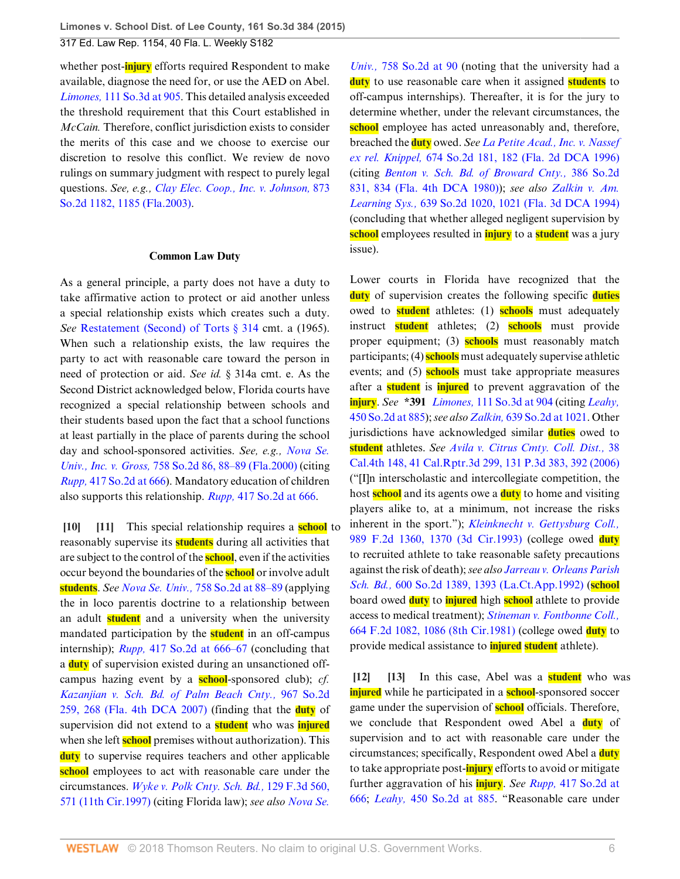whether post-**injury** efforts required Respondent to make available, diagnose the need for, or use the AED on Abel. *Limones,* [111 So.3d at 905.](http://www.westlaw.com/Link/Document/FullText?findType=Y&serNum=2029798103&pubNum=0003926&originatingDoc=I4fba03cbd96211e4a795ac035416da91&refType=RP&fi=co_pp_sp_3926_905&originationContext=document&vr=3.0&rs=cblt1.0&transitionType=DocumentItem&contextData=(sc.Search)#co_pp_sp_3926_905) This detailed analysis exceeded the threshold requirement that this Court established in *McCain.* Therefore, conflict jurisdiction exists to consider the merits of this case and we choose to exercise our discretion to resolve this conflict. We review de novo rulings on summary judgment with respect to purely legal questions. *See, e.g., [Clay Elec. Coop., Inc. v. Johnson,](http://www.westlaw.com/Link/Document/FullText?findType=Y&serNum=2003929994&pubNum=0000735&originatingDoc=I4fba03cbd96211e4a795ac035416da91&refType=RP&fi=co_pp_sp_735_1185&originationContext=document&vr=3.0&rs=cblt1.0&transitionType=DocumentItem&contextData=(sc.Search)#co_pp_sp_735_1185)* 873 [So.2d 1182, 1185 \(Fla.2003\)](http://www.westlaw.com/Link/Document/FullText?findType=Y&serNum=2003929994&pubNum=0000735&originatingDoc=I4fba03cbd96211e4a795ac035416da91&refType=RP&fi=co_pp_sp_735_1185&originationContext=document&vr=3.0&rs=cblt1.0&transitionType=DocumentItem&contextData=(sc.Search)#co_pp_sp_735_1185).

#### **Common Law Duty**

As a general principle, a party does not have a duty to take affirmative action to protect or aid another unless a special relationship exists which creates such a duty. *See* [Restatement \(Second\) of Torts § 314](http://www.westlaw.com/Link/Document/FullText?findType=Y&serNum=0290694052&pubNum=0101577&originatingDoc=I4fba03cbd96211e4a795ac035416da91&refType=TS&originationContext=document&vr=3.0&rs=cblt1.0&transitionType=DocumentItem&contextData=(sc.Search)) cmt. a (1965). When such a relationship exists, the law requires the party to act with reasonable care toward the person in need of protection or aid. *See id.* § 314a cmt. e. As the Second District acknowledged below, Florida courts have recognized a special relationship between schools and their students based upon the fact that a school functions at least partially in the place of parents during the school day and school-sponsored activities. *See, e.g., [Nova Se.](http://www.westlaw.com/Link/Document/FullText?findType=Y&serNum=2000087745&pubNum=0000735&originatingDoc=I4fba03cbd96211e4a795ac035416da91&refType=RP&fi=co_pp_sp_735_88&originationContext=document&vr=3.0&rs=cblt1.0&transitionType=DocumentItem&contextData=(sc.Search)#co_pp_sp_735_88) Univ., Inc. v. Gross,* [758 So.2d 86, 88–89 \(Fla.2000\)](http://www.westlaw.com/Link/Document/FullText?findType=Y&serNum=2000087745&pubNum=0000735&originatingDoc=I4fba03cbd96211e4a795ac035416da91&refType=RP&fi=co_pp_sp_735_88&originationContext=document&vr=3.0&rs=cblt1.0&transitionType=DocumentItem&contextData=(sc.Search)#co_pp_sp_735_88) (citing *Rupp,* [417 So.2d at 666](http://www.westlaw.com/Link/Document/FullText?findType=Y&serNum=1982133441&pubNum=0000735&originatingDoc=I4fba03cbd96211e4a795ac035416da91&refType=RP&fi=co_pp_sp_735_666&originationContext=document&vr=3.0&rs=cblt1.0&transitionType=DocumentItem&contextData=(sc.Search)#co_pp_sp_735_666)). Mandatory education of children also supports this relationship. *Rupp,* [417 So.2d at 666](http://www.westlaw.com/Link/Document/FullText?findType=Y&serNum=1982133441&pubNum=0000735&originatingDoc=I4fba03cbd96211e4a795ac035416da91&refType=RP&fi=co_pp_sp_735_666&originationContext=document&vr=3.0&rs=cblt1.0&transitionType=DocumentItem&contextData=(sc.Search)#co_pp_sp_735_666).

<span id="page-5-1"></span><span id="page-5-0"></span>**[\[10](#page-1-6)] [\[11](#page-1-7)]** This special relationship requires a **school** to reasonably supervise its **students** during all activities that are subject to the control of the **school**, even if the activities occur beyond the boundaries of the **school** or involve adult **students**. *See Nova Se. Univ.,* [758 So.2d at 88–89](http://www.westlaw.com/Link/Document/FullText?findType=Y&serNum=2000087745&pubNum=0000735&originatingDoc=I4fba03cbd96211e4a795ac035416da91&refType=RP&fi=co_pp_sp_735_88&originationContext=document&vr=3.0&rs=cblt1.0&transitionType=DocumentItem&contextData=(sc.Search)#co_pp_sp_735_88) (applying the in loco parentis doctrine to a relationship between an adult **student** and a university when the university mandated participation by the **student** in an off-campus internship); *Rupp,* [417 So.2d at 666–67](http://www.westlaw.com/Link/Document/FullText?findType=Y&serNum=1982133441&pubNum=0000735&originatingDoc=I4fba03cbd96211e4a795ac035416da91&refType=RP&fi=co_pp_sp_735_666&originationContext=document&vr=3.0&rs=cblt1.0&transitionType=DocumentItem&contextData=(sc.Search)#co_pp_sp_735_666) (concluding that a **duty** of supervision existed during an unsanctioned offcampus hazing event by a **school**-sponsored club); *cf. [Kazanjian v. Sch. Bd. of Palm Beach Cnty.,](http://www.westlaw.com/Link/Document/FullText?findType=Y&serNum=2013204690&pubNum=0000735&originatingDoc=I4fba03cbd96211e4a795ac035416da91&refType=RP&fi=co_pp_sp_735_268&originationContext=document&vr=3.0&rs=cblt1.0&transitionType=DocumentItem&contextData=(sc.Search)#co_pp_sp_735_268)* 967 So.2d [259, 268 \(Fla. 4th DCA 2007\)](http://www.westlaw.com/Link/Document/FullText?findType=Y&serNum=2013204690&pubNum=0000735&originatingDoc=I4fba03cbd96211e4a795ac035416da91&refType=RP&fi=co_pp_sp_735_268&originationContext=document&vr=3.0&rs=cblt1.0&transitionType=DocumentItem&contextData=(sc.Search)#co_pp_sp_735_268) (finding that the **duty** of supervision did not extend to a **student** who was **injured** when she left **school** premises without authorization). This **duty** to supervise requires teachers and other applicable **school** employees to act with reasonable care under the circumstances. *[Wyke v. Polk Cnty. Sch. Bd.,](http://www.westlaw.com/Link/Document/FullText?findType=Y&serNum=1997229517&pubNum=0000506&originatingDoc=I4fba03cbd96211e4a795ac035416da91&refType=RP&fi=co_pp_sp_506_571&originationContext=document&vr=3.0&rs=cblt1.0&transitionType=DocumentItem&contextData=(sc.Search)#co_pp_sp_506_571)* 129 F.3d 560, [571 \(11th Cir.1997\)](http://www.westlaw.com/Link/Document/FullText?findType=Y&serNum=1997229517&pubNum=0000506&originatingDoc=I4fba03cbd96211e4a795ac035416da91&refType=RP&fi=co_pp_sp_506_571&originationContext=document&vr=3.0&rs=cblt1.0&transitionType=DocumentItem&contextData=(sc.Search)#co_pp_sp_506_571) (citing Florida law); *see also [Nova Se.](http://www.westlaw.com/Link/Document/FullText?findType=Y&serNum=2000087745&pubNum=0000735&originatingDoc=I4fba03cbd96211e4a795ac035416da91&refType=RP&fi=co_pp_sp_735_90&originationContext=document&vr=3.0&rs=cblt1.0&transitionType=DocumentItem&contextData=(sc.Search)#co_pp_sp_735_90)*

*Univ.,* [758 So.2d at 90](http://www.westlaw.com/Link/Document/FullText?findType=Y&serNum=2000087745&pubNum=0000735&originatingDoc=I4fba03cbd96211e4a795ac035416da91&refType=RP&fi=co_pp_sp_735_90&originationContext=document&vr=3.0&rs=cblt1.0&transitionType=DocumentItem&contextData=(sc.Search)#co_pp_sp_735_90) (noting that the university had a **duty** to use reasonable care when it assigned **students** to off-campus internships). Thereafter, it is for the jury to determine whether, under the relevant circumstances, the school employee has acted unreasonably and, therefore, breached the **duty** owed. *See [La Petite Acad., Inc. v. Nassef](http://www.westlaw.com/Link/Document/FullText?findType=Y&serNum=1996119728&pubNum=0000735&originatingDoc=I4fba03cbd96211e4a795ac035416da91&refType=RP&fi=co_pp_sp_735_182&originationContext=document&vr=3.0&rs=cblt1.0&transitionType=DocumentItem&contextData=(sc.Search)#co_pp_sp_735_182) ex rel. Knippel,* [674 So.2d 181, 182 \(Fla. 2d DCA 1996\)](http://www.westlaw.com/Link/Document/FullText?findType=Y&serNum=1996119728&pubNum=0000735&originatingDoc=I4fba03cbd96211e4a795ac035416da91&refType=RP&fi=co_pp_sp_735_182&originationContext=document&vr=3.0&rs=cblt1.0&transitionType=DocumentItem&contextData=(sc.Search)#co_pp_sp_735_182) (citing *[Benton v. Sch. Bd. of Broward Cnty.,](http://www.westlaw.com/Link/Document/FullText?findType=Y&serNum=1980124888&pubNum=0000735&originatingDoc=I4fba03cbd96211e4a795ac035416da91&refType=RP&fi=co_pp_sp_735_834&originationContext=document&vr=3.0&rs=cblt1.0&transitionType=DocumentItem&contextData=(sc.Search)#co_pp_sp_735_834)* 386 So.2d [831, 834 \(Fla. 4th DCA 1980\)](http://www.westlaw.com/Link/Document/FullText?findType=Y&serNum=1980124888&pubNum=0000735&originatingDoc=I4fba03cbd96211e4a795ac035416da91&refType=RP&fi=co_pp_sp_735_834&originationContext=document&vr=3.0&rs=cblt1.0&transitionType=DocumentItem&contextData=(sc.Search)#co_pp_sp_735_834)); *see also [Zalkin v. Am.](http://www.westlaw.com/Link/Document/FullText?findType=Y&serNum=1994142745&pubNum=0000735&originatingDoc=I4fba03cbd96211e4a795ac035416da91&refType=RP&fi=co_pp_sp_735_1021&originationContext=document&vr=3.0&rs=cblt1.0&transitionType=DocumentItem&contextData=(sc.Search)#co_pp_sp_735_1021) Learning Sys.,* [639 So.2d 1020, 1021 \(Fla. 3d DCA 1994\)](http://www.westlaw.com/Link/Document/FullText?findType=Y&serNum=1994142745&pubNum=0000735&originatingDoc=I4fba03cbd96211e4a795ac035416da91&refType=RP&fi=co_pp_sp_735_1021&originationContext=document&vr=3.0&rs=cblt1.0&transitionType=DocumentItem&contextData=(sc.Search)#co_pp_sp_735_1021) (concluding that whether alleged negligent supervision by **school** employees resulted in **injury** to a **student** was a jury issue).

Lower courts in Florida have recognized that the **duty** of supervision creates the following specific **duties** owed to **student** athletes: (1) **schools** must adequately instruct **student** athletes; (2) **schools** must provide proper equipment; (3) **schools** must reasonably match participants; (4) **schools** must adequately supervise athletic events; and (5) **schools** must take appropriate measures after a **student** is **injured** to prevent aggravation of the **injury**. *See* **\*391** *Limones,* [111 So.3d at 904](http://www.westlaw.com/Link/Document/FullText?findType=Y&serNum=2029798103&pubNum=0003926&originatingDoc=I4fba03cbd96211e4a795ac035416da91&refType=RP&fi=co_pp_sp_3926_904&originationContext=document&vr=3.0&rs=cblt1.0&transitionType=DocumentItem&contextData=(sc.Search)#co_pp_sp_3926_904) (citing *[Leahy,](http://www.westlaw.com/Link/Document/FullText?findType=Y&serNum=1984122926&pubNum=0000735&originatingDoc=I4fba03cbd96211e4a795ac035416da91&refType=RP&fi=co_pp_sp_735_885&originationContext=document&vr=3.0&rs=cblt1.0&transitionType=DocumentItem&contextData=(sc.Search)#co_pp_sp_735_885)* [450 So.2d at 885\)](http://www.westlaw.com/Link/Document/FullText?findType=Y&serNum=1984122926&pubNum=0000735&originatingDoc=I4fba03cbd96211e4a795ac035416da91&refType=RP&fi=co_pp_sp_735_885&originationContext=document&vr=3.0&rs=cblt1.0&transitionType=DocumentItem&contextData=(sc.Search)#co_pp_sp_735_885); *see also Zalkin,* [639 So.2d at 1021.](http://www.westlaw.com/Link/Document/FullText?findType=Y&serNum=1994142745&pubNum=0000735&originatingDoc=I4fba03cbd96211e4a795ac035416da91&refType=RP&fi=co_pp_sp_735_1021&originationContext=document&vr=3.0&rs=cblt1.0&transitionType=DocumentItem&contextData=(sc.Search)#co_pp_sp_735_1021) Other jurisdictions have acknowledged similar **duties** owed to **student** athletes. *See [Avila v. Citrus Cmty. Coll. Dist.,](http://www.westlaw.com/Link/Document/FullText?findType=Y&serNum=2008850591&pubNum=0004645&originatingDoc=I4fba03cbd96211e4a795ac035416da91&refType=RP&fi=co_pp_sp_4645_392&originationContext=document&vr=3.0&rs=cblt1.0&transitionType=DocumentItem&contextData=(sc.Search)#co_pp_sp_4645_392)* 38 [Cal.4th 148, 41 Cal.Rptr.3d 299, 131 P.3d 383, 392 \(2006\)](http://www.westlaw.com/Link/Document/FullText?findType=Y&serNum=2008850591&pubNum=0004645&originatingDoc=I4fba03cbd96211e4a795ac035416da91&refType=RP&fi=co_pp_sp_4645_392&originationContext=document&vr=3.0&rs=cblt1.0&transitionType=DocumentItem&contextData=(sc.Search)#co_pp_sp_4645_392) ("[I]n interscholastic and intercollegiate competition, the host **school** and its agents owe a **duty** to home and visiting players alike to, at a minimum, not increase the risks inherent in the sport."); *[Kleinknecht v. Gettysburg Coll.,](http://www.westlaw.com/Link/Document/FullText?findType=Y&serNum=1993077284&pubNum=0000350&originatingDoc=I4fba03cbd96211e4a795ac035416da91&refType=RP&fi=co_pp_sp_350_1370&originationContext=document&vr=3.0&rs=cblt1.0&transitionType=DocumentItem&contextData=(sc.Search)#co_pp_sp_350_1370)* [989 F.2d 1360, 1370 \(3d Cir.1993\)](http://www.westlaw.com/Link/Document/FullText?findType=Y&serNum=1993077284&pubNum=0000350&originatingDoc=I4fba03cbd96211e4a795ac035416da91&refType=RP&fi=co_pp_sp_350_1370&originationContext=document&vr=3.0&rs=cblt1.0&transitionType=DocumentItem&contextData=(sc.Search)#co_pp_sp_350_1370) (college owed **duty** to recruited athlete to take reasonable safety precautions against the risk of death); *see also [Jarreau v. Orleans Parish](http://www.westlaw.com/Link/Document/FullText?findType=Y&serNum=1992098332&pubNum=0000735&originatingDoc=I4fba03cbd96211e4a795ac035416da91&refType=RP&fi=co_pp_sp_735_1393&originationContext=document&vr=3.0&rs=cblt1.0&transitionType=DocumentItem&contextData=(sc.Search)#co_pp_sp_735_1393) Sch. Bd.,* [600 So.2d 1389, 1393 \(La.Ct.App.1992\)](http://www.westlaw.com/Link/Document/FullText?findType=Y&serNum=1992098332&pubNum=0000735&originatingDoc=I4fba03cbd96211e4a795ac035416da91&refType=RP&fi=co_pp_sp_735_1393&originationContext=document&vr=3.0&rs=cblt1.0&transitionType=DocumentItem&contextData=(sc.Search)#co_pp_sp_735_1393) (**school** board owed **duty** to **injured** high **school** athlete to provide access to medical treatment); *[Stineman v. Fontbonne Coll.,](http://www.westlaw.com/Link/Document/FullText?findType=Y&serNum=1981148428&pubNum=0000350&originatingDoc=I4fba03cbd96211e4a795ac035416da91&refType=RP&fi=co_pp_sp_350_1086&originationContext=document&vr=3.0&rs=cblt1.0&transitionType=DocumentItem&contextData=(sc.Search)#co_pp_sp_350_1086)* [664 F.2d 1082, 1086 \(8th Cir.1981\)](http://www.westlaw.com/Link/Document/FullText?findType=Y&serNum=1981148428&pubNum=0000350&originatingDoc=I4fba03cbd96211e4a795ac035416da91&refType=RP&fi=co_pp_sp_350_1086&originationContext=document&vr=3.0&rs=cblt1.0&transitionType=DocumentItem&contextData=(sc.Search)#co_pp_sp_350_1086) (college owed **duty** to provide medical assistance to **injured student** athlete).

<span id="page-5-3"></span><span id="page-5-2"></span>**[\[12](#page-2-0)] [\[13](#page-2-1)]** In this case, Abel was a **student** who was **injured** while he participated in a **school**-sponsored soccer game under the supervision of **school** officials. Therefore, we conclude that Respondent owed Abel a **duty** of supervision and to act with reasonable care under the circumstances; specifically, Respondent owed Abel a **duty** to take appropriate post-**injury** efforts to avoid or mitigate further aggravation of his **injury**. *See Rupp,* [417 So.2d at](http://www.westlaw.com/Link/Document/FullText?findType=Y&serNum=1982133441&pubNum=0000735&originatingDoc=I4fba03cbd96211e4a795ac035416da91&refType=RP&fi=co_pp_sp_735_666&originationContext=document&vr=3.0&rs=cblt1.0&transitionType=DocumentItem&contextData=(sc.Search)#co_pp_sp_735_666) [666](http://www.westlaw.com/Link/Document/FullText?findType=Y&serNum=1982133441&pubNum=0000735&originatingDoc=I4fba03cbd96211e4a795ac035416da91&refType=RP&fi=co_pp_sp_735_666&originationContext=document&vr=3.0&rs=cblt1.0&transitionType=DocumentItem&contextData=(sc.Search)#co_pp_sp_735_666); *Leahy,* [450 So.2d at 885](http://www.westlaw.com/Link/Document/FullText?findType=Y&serNum=1984122926&pubNum=0000735&originatingDoc=I4fba03cbd96211e4a795ac035416da91&refType=RP&fi=co_pp_sp_735_885&originationContext=document&vr=3.0&rs=cblt1.0&transitionType=DocumentItem&contextData=(sc.Search)#co_pp_sp_735_885). "Reasonable care under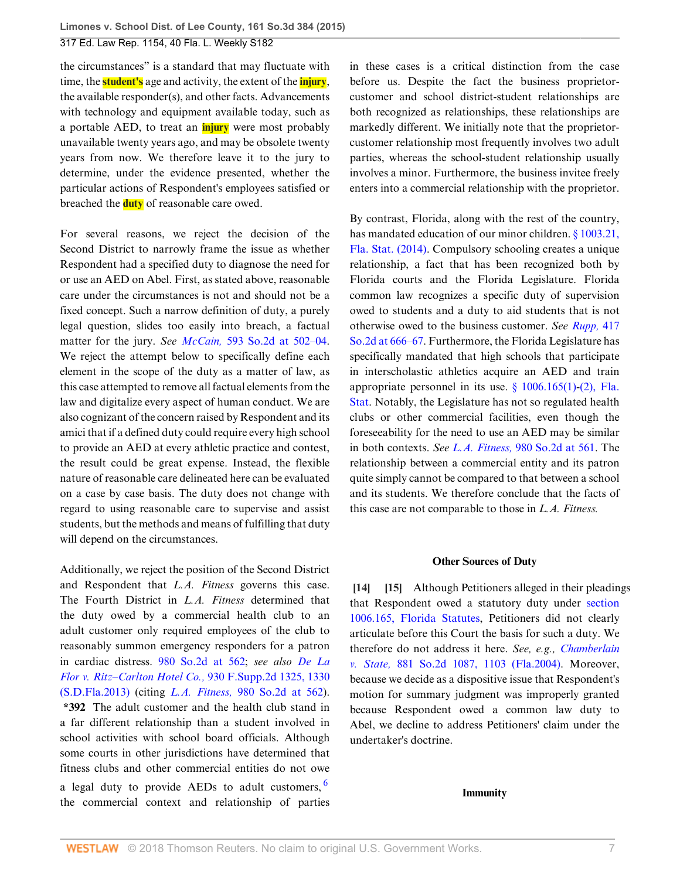the circumstances" is a standard that may fluctuate with time, the **student's** age and activity, the extent of the **injury**, the available responder(s), and other facts. Advancements with technology and equipment available today, such as a portable AED, to treat an **injury** were most probably unavailable twenty years ago, and may be obsolete twenty years from now. We therefore leave it to the jury to determine, under the evidence presented, whether the particular actions of Respondent's employees satisfied or breached the **duty** of reasonable care owed.

For several reasons, we reject the decision of the Second District to narrowly frame the issue as whether Respondent had a specified duty to diagnose the need for or use an AED on Abel. First, as stated above, reasonable care under the circumstances is not and should not be a fixed concept. Such a narrow definition of duty, a purely legal question, slides too easily into breach, a factual matter for the jury. *See McCain,* [593 So.2d at 502–04](http://www.westlaw.com/Link/Document/FullText?findType=Y&serNum=1992030830&pubNum=0000735&originatingDoc=I4fba03cbd96211e4a795ac035416da91&refType=RP&fi=co_pp_sp_735_502&originationContext=document&vr=3.0&rs=cblt1.0&transitionType=DocumentItem&contextData=(sc.Search)#co_pp_sp_735_502). We reject the attempt below to specifically define each element in the scope of the duty as a matter of law, as this case attempted to remove all factual elements from the law and digitalize every aspect of human conduct. We are also cognizant of the concern raised by Respondent and its amici that if a defined duty could require every high school to provide an AED at every athletic practice and contest, the result could be great expense. Instead, the flexible nature of reasonable care delineated here can be evaluated on a case by case basis. The duty does not change with regard to using reasonable care to supervise and assist students, but the methods and means of fulfilling that duty will depend on the circumstances.

Additionally, we reject the position of the Second District and Respondent that *L.A. Fitness* governs this case. The Fourth District in *L.A. Fitness* determined that the duty owed by a commercial health club to an adult customer only required employees of the club to reasonably summon emergency responders for a patron in cardiac distress. [980 So.2d at 562;](http://www.westlaw.com/Link/Document/FullText?findType=Y&serNum=2015861056&pubNum=0000735&originatingDoc=I4fba03cbd96211e4a795ac035416da91&refType=RP&fi=co_pp_sp_735_562&originationContext=document&vr=3.0&rs=cblt1.0&transitionType=DocumentItem&contextData=(sc.Search)#co_pp_sp_735_562) *see also [De La](http://www.westlaw.com/Link/Document/FullText?findType=Y&serNum=2030146577&pubNum=0004637&originatingDoc=I4fba03cbd96211e4a795ac035416da91&refType=RP&fi=co_pp_sp_4637_1330&originationContext=document&vr=3.0&rs=cblt1.0&transitionType=DocumentItem&contextData=(sc.Search)#co_pp_sp_4637_1330) [Flor v. Ritz–Carlton Hotel Co.,](http://www.westlaw.com/Link/Document/FullText?findType=Y&serNum=2030146577&pubNum=0004637&originatingDoc=I4fba03cbd96211e4a795ac035416da91&refType=RP&fi=co_pp_sp_4637_1330&originationContext=document&vr=3.0&rs=cblt1.0&transitionType=DocumentItem&contextData=(sc.Search)#co_pp_sp_4637_1330)* 930 F.Supp.2d 1325, 1330 [\(S.D.Fla.2013\)](http://www.westlaw.com/Link/Document/FullText?findType=Y&serNum=2030146577&pubNum=0004637&originatingDoc=I4fba03cbd96211e4a795ac035416da91&refType=RP&fi=co_pp_sp_4637_1330&originationContext=document&vr=3.0&rs=cblt1.0&transitionType=DocumentItem&contextData=(sc.Search)#co_pp_sp_4637_1330) (citing *L.A. Fitness,* [980 So.2d at 562\)](http://www.westlaw.com/Link/Document/FullText?findType=Y&serNum=2015861056&pubNum=0000735&originatingDoc=I4fba03cbd96211e4a795ac035416da91&refType=RP&fi=co_pp_sp_735_562&originationContext=document&vr=3.0&rs=cblt1.0&transitionType=DocumentItem&contextData=(sc.Search)#co_pp_sp_735_562). **\*392** The adult customer and the health club stand in a far different relationship than a student involved in school activities with school board officials. Although some courts in other jurisdictions have determined that fitness clubs and other commercial entities do not owe a legal duty to provide AEDs to adult customers.  $6$ the commercial context and relationship of parties

in these cases is a critical distinction from the case before us. Despite the fact the business proprietorcustomer and school district-student relationships are both recognized as relationships, these relationships are markedly different. We initially note that the proprietorcustomer relationship most frequently involves two adult parties, whereas the school-student relationship usually involves a minor. Furthermore, the business invitee freely enters into a commercial relationship with the proprietor.

By contrast, Florida, along with the rest of the country, has mandated education of our minor children. [§ 1003.21,](http://www.westlaw.com/Link/Document/FullText?findType=L&pubNum=1000006&cite=FLSTS1003.21&originatingDoc=I4fba03cbd96211e4a795ac035416da91&refType=LQ&originationContext=document&vr=3.0&rs=cblt1.0&transitionType=DocumentItem&contextData=(sc.Search)) [Fla. Stat. \(2014\)](http://www.westlaw.com/Link/Document/FullText?findType=L&pubNum=1000006&cite=FLSTS1003.21&originatingDoc=I4fba03cbd96211e4a795ac035416da91&refType=LQ&originationContext=document&vr=3.0&rs=cblt1.0&transitionType=DocumentItem&contextData=(sc.Search)). Compulsory schooling creates a unique relationship, a fact that has been recognized both by Florida courts and the Florida Legislature. Florida common law recognizes a specific duty of supervision owed to students and a duty to aid students that is not otherwise owed to the business customer. *See [Rupp,](http://www.westlaw.com/Link/Document/FullText?findType=Y&serNum=1982133441&pubNum=0000735&originatingDoc=I4fba03cbd96211e4a795ac035416da91&refType=RP&fi=co_pp_sp_735_666&originationContext=document&vr=3.0&rs=cblt1.0&transitionType=DocumentItem&contextData=(sc.Search)#co_pp_sp_735_666)* 417 [So.2d at 666–67](http://www.westlaw.com/Link/Document/FullText?findType=Y&serNum=1982133441&pubNum=0000735&originatingDoc=I4fba03cbd96211e4a795ac035416da91&refType=RP&fi=co_pp_sp_735_666&originationContext=document&vr=3.0&rs=cblt1.0&transitionType=DocumentItem&contextData=(sc.Search)#co_pp_sp_735_666). Furthermore, the Florida Legislature has specifically mandated that high schools that participate in interscholastic athletics acquire an AED and train appropriate personnel in its use.  $\frac{6}{9}$  1006.165(1)[-\(2\), Fla.](http://www.westlaw.com/Link/Document/FullText?findType=L&pubNum=1000006&cite=FLSTS1006.165&originatingDoc=I4fba03cbd96211e4a795ac035416da91&refType=SP&originationContext=document&vr=3.0&rs=cblt1.0&transitionType=DocumentItem&contextData=(sc.Search)#co_pp_58730000872b1) [Stat](http://www.westlaw.com/Link/Document/FullText?findType=L&pubNum=1000006&cite=FLSTS1006.165&originatingDoc=I4fba03cbd96211e4a795ac035416da91&refType=SP&originationContext=document&vr=3.0&rs=cblt1.0&transitionType=DocumentItem&contextData=(sc.Search)#co_pp_58730000872b1). Notably, the Legislature has not so regulated health clubs or other commercial facilities, even though the foreseeability for the need to use an AED may be similar in both contexts. *See L.A. Fitness,* [980 So.2d at 561.](http://www.westlaw.com/Link/Document/FullText?findType=Y&serNum=2015861056&pubNum=0000735&originatingDoc=I4fba03cbd96211e4a795ac035416da91&refType=RP&fi=co_pp_sp_735_561&originationContext=document&vr=3.0&rs=cblt1.0&transitionType=DocumentItem&contextData=(sc.Search)#co_pp_sp_735_561) The relationship between a commercial entity and its patron quite simply cannot be compared to that between a school and its students. We therefore conclude that the facts of this case are not comparable to those in *L.A. Fitness.*

#### <span id="page-6-1"></span>**Other Sources of Duty**

<span id="page-6-0"></span>**[\[14](#page-2-3)] [\[15](#page-2-4)]** Although Petitioners alleged in their pleadings that Respondent owed a statutory duty under [section](http://www.westlaw.com/Link/Document/FullText?findType=L&pubNum=1000006&cite=FLSTS1006.165&originatingDoc=I4fba03cbd96211e4a795ac035416da91&refType=LQ&originationContext=document&vr=3.0&rs=cblt1.0&transitionType=DocumentItem&contextData=(sc.Search)) [1006.165, Florida Statutes](http://www.westlaw.com/Link/Document/FullText?findType=L&pubNum=1000006&cite=FLSTS1006.165&originatingDoc=I4fba03cbd96211e4a795ac035416da91&refType=LQ&originationContext=document&vr=3.0&rs=cblt1.0&transitionType=DocumentItem&contextData=(sc.Search)), Petitioners did not clearly articulate before this Court the basis for such a duty. We therefore do not address it here. *See, e.g., [Chamberlain](http://www.westlaw.com/Link/Document/FullText?findType=Y&serNum=2004599458&pubNum=0000735&originatingDoc=I4fba03cbd96211e4a795ac035416da91&refType=RP&fi=co_pp_sp_735_1103&originationContext=document&vr=3.0&rs=cblt1.0&transitionType=DocumentItem&contextData=(sc.Search)#co_pp_sp_735_1103) v. State,* [881 So.2d 1087, 1103 \(Fla.2004\).](http://www.westlaw.com/Link/Document/FullText?findType=Y&serNum=2004599458&pubNum=0000735&originatingDoc=I4fba03cbd96211e4a795ac035416da91&refType=RP&fi=co_pp_sp_735_1103&originationContext=document&vr=3.0&rs=cblt1.0&transitionType=DocumentItem&contextData=(sc.Search)#co_pp_sp_735_1103) Moreover, because we decide as a dispositive issue that Respondent's motion for summary judgment was improperly granted because Respondent owed a common law duty to Abel, we decline to address Petitioners' claim under the undertaker's doctrine.

#### <span id="page-6-2"></span>**Immunity**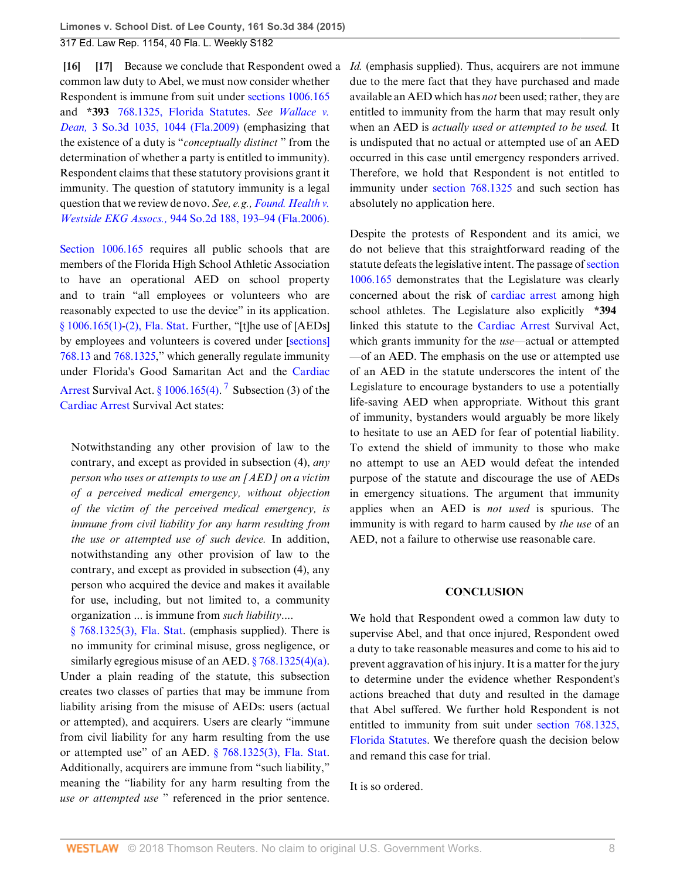<span id="page-7-1"></span><span id="page-7-0"></span>**[\[16](#page-2-2)] [\[17](#page-2-5)]** Because we conclude that Respondent owed a *Id.* (emphasis supplied). Thus, acquirers are not immune common law duty to Abel, we must now consider whether Respondent is immune from suit under [sections 1006.165](http://www.westlaw.com/Link/Document/FullText?findType=L&pubNum=1000006&cite=FLSTS1006.165&originatingDoc=I4fba03cbd96211e4a795ac035416da91&refType=LQ&originationContext=document&vr=3.0&rs=cblt1.0&transitionType=DocumentItem&contextData=(sc.Search)) and **\*393** [768.1325, Florida Statutes](http://www.westlaw.com/Link/Document/FullText?findType=L&pubNum=1000006&cite=FLSTS768.1325&originatingDoc=I4fba03cbd96211e4a795ac035416da91&refType=LQ&originationContext=document&vr=3.0&rs=cblt1.0&transitionType=DocumentItem&contextData=(sc.Search)). *See [Wallace v.](http://www.westlaw.com/Link/Document/FullText?findType=Y&serNum=2017965426&pubNum=0003926&originatingDoc=I4fba03cbd96211e4a795ac035416da91&refType=RP&fi=co_pp_sp_3926_1044&originationContext=document&vr=3.0&rs=cblt1.0&transitionType=DocumentItem&contextData=(sc.Search)#co_pp_sp_3926_1044) Dean,* [3 So.3d 1035, 1044 \(Fla.2009\)](http://www.westlaw.com/Link/Document/FullText?findType=Y&serNum=2017965426&pubNum=0003926&originatingDoc=I4fba03cbd96211e4a795ac035416da91&refType=RP&fi=co_pp_sp_3926_1044&originationContext=document&vr=3.0&rs=cblt1.0&transitionType=DocumentItem&contextData=(sc.Search)#co_pp_sp_3926_1044) (emphasizing that the existence of a duty is "*conceptually distinct* " from the determination of whether a party is entitled to immunity). Respondent claims that these statutory provisions grant it immunity. The question of statutory immunity is a legal question that we review de novo. *See, e.g., [Found. Health v.](http://www.westlaw.com/Link/Document/FullText?findType=Y&serNum=2010483943&pubNum=0000735&originatingDoc=I4fba03cbd96211e4a795ac035416da91&refType=RP&fi=co_pp_sp_735_193&originationContext=document&vr=3.0&rs=cblt1.0&transitionType=DocumentItem&contextData=(sc.Search)#co_pp_sp_735_193) Westside EKG Assocs.,* [944 So.2d 188, 193–94 \(Fla.2006\)](http://www.westlaw.com/Link/Document/FullText?findType=Y&serNum=2010483943&pubNum=0000735&originatingDoc=I4fba03cbd96211e4a795ac035416da91&refType=RP&fi=co_pp_sp_735_193&originationContext=document&vr=3.0&rs=cblt1.0&transitionType=DocumentItem&contextData=(sc.Search)#co_pp_sp_735_193).

Section  $1006.165$  requires all public schools that are members of the Florida High School Athletic Association to have an operational AED on school property and to train "all employees or volunteers who are reasonably expected to use the device" in its application. [§ 1006.165\(1\)](http://www.westlaw.com/Link/Document/FullText?findType=L&pubNum=1000006&cite=FLSTS1006.165&originatingDoc=I4fba03cbd96211e4a795ac035416da91&refType=SP&originationContext=document&vr=3.0&rs=cblt1.0&transitionType=DocumentItem&contextData=(sc.Search)#co_pp_f1c50000821b0)[-\(2\), Fla. Stat](http://www.westlaw.com/Link/Document/FullText?findType=L&pubNum=1000006&cite=FLSTS1006.165&originatingDoc=I4fba03cbd96211e4a795ac035416da91&refType=SP&originationContext=document&vr=3.0&rs=cblt1.0&transitionType=DocumentItem&contextData=(sc.Search)#co_pp_58730000872b1). Further, "[t]he use of [AEDs] by employees and volunteers is covered under [[sections\]](http://www.westlaw.com/Link/Document/FullText?findType=L&pubNum=1000006&cite=FLSTS768.13&originatingDoc=I4fba03cbd96211e4a795ac035416da91&refType=LQ&originationContext=document&vr=3.0&rs=cblt1.0&transitionType=DocumentItem&contextData=(sc.Search)) [768.13](http://www.westlaw.com/Link/Document/FullText?findType=L&pubNum=1000006&cite=FLSTS768.13&originatingDoc=I4fba03cbd96211e4a795ac035416da91&refType=LQ&originationContext=document&vr=3.0&rs=cblt1.0&transitionType=DocumentItem&contextData=(sc.Search)) and [768.1325](http://www.westlaw.com/Link/Document/FullText?findType=L&pubNum=1000006&cite=FLSTS768.1325&originatingDoc=I4fba03cbd96211e4a795ac035416da91&refType=LQ&originationContext=document&vr=3.0&rs=cblt1.0&transitionType=DocumentItem&contextData=(sc.Search))," which generally regulate immunity under Florida's Good Samaritan Act and the [Cardiac](http://www.westlaw.com/Link/Document/FullText?entityType=disease&entityId=Ic981e6a2475411db9765f9243f53508a&originationContext=document&transitionType=DocumentItem&contextData=(sc.Default)&vr=3.0&rs=cblt1.0) [Arrest](http://www.westlaw.com/Link/Document/FullText?entityType=disease&entityId=Ic981e6a2475411db9765f9243f53508a&originationContext=document&transitionType=DocumentItem&contextData=(sc.Default)&vr=3.0&rs=cblt1.0) Survival Act.  $\S 1006.165(4)$ . <sup>[7](#page-8-6)</sup> Subsection (3) of the [Cardiac Arrest](http://www.westlaw.com/Link/Document/FullText?entityType=disease&entityId=Ic981e6a2475411db9765f9243f53508a&originationContext=document&transitionType=DocumentItem&contextData=(sc.Default)&vr=3.0&rs=cblt1.0) Survival Act states:

<span id="page-7-2"></span>Notwithstanding any other provision of law to the contrary, and except as provided in subsection (4), *any person who uses or attempts to use an [AED] on a victim of a perceived medical emergency, without objection of the victim of the perceived medical emergency, is immune from civil liability for any harm resulting from the use or attempted use of such device.* In addition, notwithstanding any other provision of law to the contrary, and except as provided in subsection (4), any person who acquired the device and makes it available for use, including, but not limited to, a community organization ... is immune from *such liability*....

[§ 768.1325\(3\), Fla. Stat.](http://www.westlaw.com/Link/Document/FullText?findType=L&pubNum=1000006&cite=FLSTS768.1325&originatingDoc=I4fba03cbd96211e4a795ac035416da91&refType=SP&originationContext=document&vr=3.0&rs=cblt1.0&transitionType=DocumentItem&contextData=(sc.Search)#co_pp_d08f0000f5f67) (emphasis supplied). There is no immunity for criminal misuse, gross negligence, or similarly egregious misuse of an AED.  $\frac{6}{9}$  768.1325(4)(a). Under a plain reading of the statute, this subsection creates two classes of parties that may be immune from liability arising from the misuse of AEDs: users (actual or attempted), and acquirers. Users are clearly "immune from civil liability for any harm resulting from the use or attempted use" of an AED. [§ 768.1325\(3\), Fla. Stat](http://www.westlaw.com/Link/Document/FullText?findType=L&pubNum=1000006&cite=FLSTS768.1325&originatingDoc=I4fba03cbd96211e4a795ac035416da91&refType=SP&originationContext=document&vr=3.0&rs=cblt1.0&transitionType=DocumentItem&contextData=(sc.Search)#co_pp_d08f0000f5f67). Additionally, acquirers are immune from "such liability," meaning the "liability for any harm resulting from the *use or attempted use* " referenced in the prior sentence.

due to the mere fact that they have purchased and made available an AED which has *not* been used; rather, they are entitled to immunity from the harm that may result only when an AED is *actually used or attempted to be used.* It is undisputed that no actual or attempted use of an AED occurred in this case until emergency responders arrived. Therefore, we hold that Respondent is not entitled to immunity under [section 768.1325](http://www.westlaw.com/Link/Document/FullText?findType=L&pubNum=1000006&cite=FLSTS768.1325&originatingDoc=I4fba03cbd96211e4a795ac035416da91&refType=LQ&originationContext=document&vr=3.0&rs=cblt1.0&transitionType=DocumentItem&contextData=(sc.Search)) and such section has absolutely no application here.

Despite the protests of Respondent and its amici, we do not believe that this straightforward reading of the statute defeats the legislative intent. The passage of [section](http://www.westlaw.com/Link/Document/FullText?findType=L&pubNum=1000006&cite=FLSTS1006.165&originatingDoc=I4fba03cbd96211e4a795ac035416da91&refType=LQ&originationContext=document&vr=3.0&rs=cblt1.0&transitionType=DocumentItem&contextData=(sc.Search)) [1006.165](http://www.westlaw.com/Link/Document/FullText?findType=L&pubNum=1000006&cite=FLSTS1006.165&originatingDoc=I4fba03cbd96211e4a795ac035416da91&refType=LQ&originationContext=document&vr=3.0&rs=cblt1.0&transitionType=DocumentItem&contextData=(sc.Search)) demonstrates that the Legislature was clearly concerned about the risk of [cardiac arrest](http://www.westlaw.com/Link/Document/FullText?entityType=disease&entityId=Ic981e6a2475411db9765f9243f53508a&originationContext=document&transitionType=DocumentItem&contextData=(sc.Default)&vr=3.0&rs=cblt1.0) among high school athletes. The Legislature also explicitly **\*394** linked this statute to the [Cardiac Arrest](http://www.westlaw.com/Link/Document/FullText?entityType=disease&entityId=Ic981e6a2475411db9765f9243f53508a&originationContext=document&transitionType=DocumentItem&contextData=(sc.Default)&vr=3.0&rs=cblt1.0) Survival Act, which grants immunity for the *use*—actual or attempted —of an AED. The emphasis on the use or attempted use of an AED in the statute underscores the intent of the Legislature to encourage bystanders to use a potentially life-saving AED when appropriate. Without this grant of immunity, bystanders would arguably be more likely to hesitate to use an AED for fear of potential liability. To extend the shield of immunity to those who make no attempt to use an AED would defeat the intended purpose of the statute and discourage the use of AEDs in emergency situations. The argument that immunity applies when an AED is *not used* is spurious. The immunity is with regard to harm caused by *the use* of an AED, not a failure to otherwise use reasonable care.

#### **CONCLUSION**

We hold that Respondent owed a common law duty to supervise Abel, and that once injured, Respondent owed a duty to take reasonable measures and come to his aid to prevent aggravation of his injury. It is a matter for the jury to determine under the evidence whether Respondent's actions breached that duty and resulted in the damage that Abel suffered. We further hold Respondent is not entitled to immunity from suit under [section 768.1325,](http://www.westlaw.com/Link/Document/FullText?findType=L&pubNum=1000006&cite=FLSTS768.1325&originatingDoc=I4fba03cbd96211e4a795ac035416da91&refType=LQ&originationContext=document&vr=3.0&rs=cblt1.0&transitionType=DocumentItem&contextData=(sc.Search)) [Florida Statutes](http://www.westlaw.com/Link/Document/FullText?findType=L&pubNum=1000006&cite=FLSTS768.1325&originatingDoc=I4fba03cbd96211e4a795ac035416da91&refType=LQ&originationContext=document&vr=3.0&rs=cblt1.0&transitionType=DocumentItem&contextData=(sc.Search)). We therefore quash the decision below and remand this case for trial.

It is so ordered.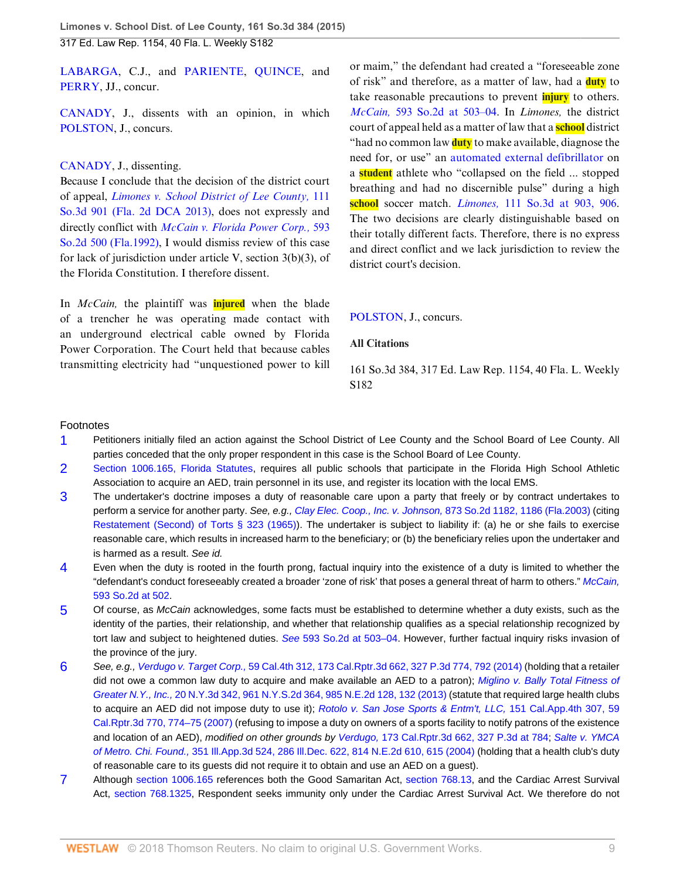[LABARGA](http://www.westlaw.com/Link/Document/FullText?findType=h&pubNum=176284&cite=0101832301&originatingDoc=I4fba03cbd96211e4a795ac035416da91&refType=RQ&originationContext=document&vr=3.0&rs=cblt1.0&transitionType=DocumentItem&contextData=(sc.Search)), C.J., and [PARIENTE,](http://www.westlaw.com/Link/Document/FullText?findType=h&pubNum=176284&cite=0183797201&originatingDoc=I4fba03cbd96211e4a795ac035416da91&refType=RQ&originationContext=document&vr=3.0&rs=cblt1.0&transitionType=DocumentItem&contextData=(sc.Search)) [QUINCE](http://www.westlaw.com/Link/Document/FullText?findType=h&pubNum=176284&cite=0155422801&originatingDoc=I4fba03cbd96211e4a795ac035416da91&refType=RQ&originationContext=document&vr=3.0&rs=cblt1.0&transitionType=DocumentItem&contextData=(sc.Search)), and [PERRY,](http://www.westlaw.com/Link/Document/FullText?findType=h&pubNum=176284&cite=0165436201&originatingDoc=I4fba03cbd96211e4a795ac035416da91&refType=RQ&originationContext=document&vr=3.0&rs=cblt1.0&transitionType=DocumentItem&contextData=(sc.Search)) JJ., concur.

[CANADY,](http://www.westlaw.com/Link/Document/FullText?findType=h&pubNum=176284&cite=0202165601&originatingDoc=I4fba03cbd96211e4a795ac035416da91&refType=RQ&originationContext=document&vr=3.0&rs=cblt1.0&transitionType=DocumentItem&contextData=(sc.Search)) J., dissents with an opinion, in which [POLSTON,](http://www.westlaw.com/Link/Document/FullText?findType=h&pubNum=176284&cite=0103849201&originatingDoc=I4fba03cbd96211e4a795ac035416da91&refType=RQ&originationContext=document&vr=3.0&rs=cblt1.0&transitionType=DocumentItem&contextData=(sc.Search)) J., concurs.

#### [CANADY,](http://www.westlaw.com/Link/Document/FullText?findType=h&pubNum=176284&cite=0202165601&originatingDoc=I4fba03cbd96211e4a795ac035416da91&refType=RQ&originationContext=document&vr=3.0&rs=cblt1.0&transitionType=DocumentItem&contextData=(sc.Search)) J., dissenting.

Because I conclude that the decision of the district court of appeal, *[Limones v. School District of Lee County,](http://www.westlaw.com/Link/Document/FullText?findType=Y&serNum=2029798103&pubNum=0003926&originatingDoc=I4fba03cbd96211e4a795ac035416da91&refType=RP&originationContext=document&vr=3.0&rs=cblt1.0&transitionType=DocumentItem&contextData=(sc.Search))* 111 [So.3d 901 \(Fla. 2d DCA 2013\)](http://www.westlaw.com/Link/Document/FullText?findType=Y&serNum=2029798103&pubNum=0003926&originatingDoc=I4fba03cbd96211e4a795ac035416da91&refType=RP&originationContext=document&vr=3.0&rs=cblt1.0&transitionType=DocumentItem&contextData=(sc.Search)), does not expressly and directly conflict with *[McCain v. Florida Power Corp.,](http://www.westlaw.com/Link/Document/FullText?findType=Y&serNum=1992030830&pubNum=0000735&originatingDoc=I4fba03cbd96211e4a795ac035416da91&refType=RP&originationContext=document&vr=3.0&rs=cblt1.0&transitionType=DocumentItem&contextData=(sc.Search))* 593 [So.2d 500 \(Fla.1992\),](http://www.westlaw.com/Link/Document/FullText?findType=Y&serNum=1992030830&pubNum=0000735&originatingDoc=I4fba03cbd96211e4a795ac035416da91&refType=RP&originationContext=document&vr=3.0&rs=cblt1.0&transitionType=DocumentItem&contextData=(sc.Search)) I would dismiss review of this case for lack of jurisdiction under article V, section 3(b)(3), of the Florida Constitution. I therefore dissent.

In *McCain,* the plaintiff was **injured** when the blade of a trencher he was operating made contact with an underground electrical cable owned by Florida Power Corporation. The Court held that because cables transmitting electricity had "unquestioned power to kill or maim," the defendant had created a "foreseeable zone of risk" and therefore, as a matter of law, had a **duty** to take reasonable precautions to prevent **injury** to others. *McCain,* [593 So.2d at 503–04](http://www.westlaw.com/Link/Document/FullText?findType=Y&serNum=1992030830&pubNum=0000735&originatingDoc=I4fba03cbd96211e4a795ac035416da91&refType=RP&fi=co_pp_sp_735_503&originationContext=document&vr=3.0&rs=cblt1.0&transitionType=DocumentItem&contextData=(sc.Search)#co_pp_sp_735_503). In *Limones,* the district court of appeal held as a matter of law that a **school** district "had no common law **duty** to make available, diagnose the need for, or use" an [automated external defibrillator](http://www.westlaw.com/Link/Document/FullText?entityType=mdev&entityId=Ic53a03e1475411db9765f9243f53508a&originationContext=document&transitionType=DocumentItem&contextData=(sc.Default)&vr=3.0&rs=cblt1.0) on a **student** athlete who "collapsed on the field ... stopped breathing and had no discernible pulse" during a high **school** soccer match. *Limones,* [111 So.3d at 903, 906](http://www.westlaw.com/Link/Document/FullText?findType=Y&serNum=2029798103&pubNum=0003926&originatingDoc=I4fba03cbd96211e4a795ac035416da91&refType=RP&fi=co_pp_sp_3926_903&originationContext=document&vr=3.0&rs=cblt1.0&transitionType=DocumentItem&contextData=(sc.Search)#co_pp_sp_3926_903). The two decisions are clearly distinguishable based on their totally different facts. Therefore, there is no express and direct conflict and we lack jurisdiction to review the district court's decision.

#### [POLSTON,](http://www.westlaw.com/Link/Document/FullText?findType=h&pubNum=176284&cite=0103849201&originatingDoc=I4fba03cbd96211e4a795ac035416da91&refType=RQ&originationContext=document&vr=3.0&rs=cblt1.0&transitionType=DocumentItem&contextData=(sc.Search)) J., concurs.

#### **All Citations**

161 So.3d 384, 317 Ed. Law Rep. 1154, 40 Fla. L. Weekly S182

#### Footnotes

- <span id="page-8-0"></span>[1](#page-3-0) Petitioners initially filed an action against the School District of Lee County and the School Board of Lee County. All parties conceded that the only proper respondent in this case is the School Board of Lee County.
- <span id="page-8-1"></span>[2](#page-3-1) [Section 1006.165, Florida Statutes,](http://www.westlaw.com/Link/Document/FullText?findType=L&pubNum=1000006&cite=FLSTS1006.165&originatingDoc=I4fba03cbd96211e4a795ac035416da91&refType=LQ&originationContext=document&vr=3.0&rs=cblt1.0&transitionType=DocumentItem&contextData=(sc.Search)) requires all public schools that participate in the Florida High School Athletic Association to acquire an AED, train personnel in its use, and register its location with the local EMS.
- <span id="page-8-2"></span>[3](#page-4-9) The undertaker's doctrine imposes a duty of reasonable care upon a party that freely or by contract undertakes to perform a service for another party. See, e.g., [Clay Elec. Coop., Inc. v. Johnson,](http://www.westlaw.com/Link/Document/FullText?findType=Y&serNum=2003929994&pubNum=0000735&originatingDoc=I4fba03cbd96211e4a795ac035416da91&refType=RP&fi=co_pp_sp_735_1186&originationContext=document&vr=3.0&rs=cblt1.0&transitionType=DocumentItem&contextData=(sc.Search)#co_pp_sp_735_1186) 873 So.2d 1182, 1186 (Fla.2003) (citing [Restatement \(Second\) of Torts § 323 \(1965\)\)](http://www.westlaw.com/Link/Document/FullText?findType=Y&serNum=0290694065&pubNum=0101577&originatingDoc=I4fba03cbd96211e4a795ac035416da91&refType=TS&originationContext=document&vr=3.0&rs=cblt1.0&transitionType=DocumentItem&contextData=(sc.Search)). The undertaker is subject to liability if: (a) he or she fails to exercise reasonable care, which results in increased harm to the beneficiary; or (b) the beneficiary relies upon the undertaker and is harmed as a result. See id.
- <span id="page-8-3"></span>[4](#page-4-10) Even when the duty is rooted in the fourth prong, factual inquiry into the existence of a duty is limited to whether the "defendant's conduct foreseeably created a broader 'zone of risk' that poses a general threat of harm to others." [McCain,](http://www.westlaw.com/Link/Document/FullText?findType=Y&serNum=1992030830&pubNum=0000735&originatingDoc=I4fba03cbd96211e4a795ac035416da91&refType=RP&fi=co_pp_sp_735_502&originationContext=document&vr=3.0&rs=cblt1.0&transitionType=DocumentItem&contextData=(sc.Search)#co_pp_sp_735_502) [593 So.2d at 502.](http://www.westlaw.com/Link/Document/FullText?findType=Y&serNum=1992030830&pubNum=0000735&originatingDoc=I4fba03cbd96211e4a795ac035416da91&refType=RP&fi=co_pp_sp_735_502&originationContext=document&vr=3.0&rs=cblt1.0&transitionType=DocumentItem&contextData=(sc.Search)#co_pp_sp_735_502)
- <span id="page-8-4"></span>[5](#page-4-11) Of course, as McCain acknowledges, some facts must be established to determine whether a duty exists, such as the identity of the parties, their relationship, and whether that relationship qualifies as a special relationship recognized by tort law and subject to heightened duties. See [593 So.2d at 503–04](http://www.westlaw.com/Link/Document/FullText?findType=Y&serNum=1992030830&pubNum=0000735&originatingDoc=I4fba03cbd96211e4a795ac035416da91&refType=RP&fi=co_pp_sp_735_503&originationContext=document&vr=3.0&rs=cblt1.0&transitionType=DocumentItem&contextData=(sc.Search)#co_pp_sp_735_503). However, further factual inquiry risks invasion of the province of the jury.
- <span id="page-8-5"></span>[6](#page-6-2) See, e.g., Verdugo v. Target Corp., [59 Cal.4th 312, 173 Cal.Rptr.3d 662, 327 P.3d 774, 792 \(2014\)](http://www.westlaw.com/Link/Document/FullText?findType=Y&serNum=2033644209&pubNum=0004645&originatingDoc=I4fba03cbd96211e4a795ac035416da91&refType=RP&fi=co_pp_sp_4645_792&originationContext=document&vr=3.0&rs=cblt1.0&transitionType=DocumentItem&contextData=(sc.Search)#co_pp_sp_4645_792) (holding that a retailer did not owe a common law duty to acquire and make available an AED to a patron); [Miglino v. Bally Total Fitness of](http://www.westlaw.com/Link/Document/FullText?findType=Y&serNum=2029802015&pubNum=0000578&originatingDoc=I4fba03cbd96211e4a795ac035416da91&refType=RP&fi=co_pp_sp_578_132&originationContext=document&vr=3.0&rs=cblt1.0&transitionType=DocumentItem&contextData=(sc.Search)#co_pp_sp_578_132) Greater N.Y., Inc., [20 N.Y.3d 342, 961 N.Y.S.2d 364, 985 N.E.2d 128, 132 \(2013\)](http://www.westlaw.com/Link/Document/FullText?findType=Y&serNum=2029802015&pubNum=0000578&originatingDoc=I4fba03cbd96211e4a795ac035416da91&refType=RP&fi=co_pp_sp_578_132&originationContext=document&vr=3.0&rs=cblt1.0&transitionType=DocumentItem&contextData=(sc.Search)#co_pp_sp_578_132) (statute that required large health clubs to acquire an AED did not impose duty to use it); [Rotolo v. San Jose Sports & Entm't, LLC,](http://www.westlaw.com/Link/Document/FullText?findType=Y&serNum=2012325521&pubNum=0007047&originatingDoc=I4fba03cbd96211e4a795ac035416da91&refType=RP&fi=co_pp_sp_7047_774&originationContext=document&vr=3.0&rs=cblt1.0&transitionType=DocumentItem&contextData=(sc.Search)#co_pp_sp_7047_774) 151 Cal.App.4th 307, 59 [Cal.Rptr.3d 770, 774–75 \(2007\)](http://www.westlaw.com/Link/Document/FullText?findType=Y&serNum=2012325521&pubNum=0007047&originatingDoc=I4fba03cbd96211e4a795ac035416da91&refType=RP&fi=co_pp_sp_7047_774&originationContext=document&vr=3.0&rs=cblt1.0&transitionType=DocumentItem&contextData=(sc.Search)#co_pp_sp_7047_774) (refusing to impose a duty on owners of a sports facility to notify patrons of the existence and location of an AED), modified on other grounds by Verdugo, [173 Cal.Rptr.3d 662, 327 P.3d at 784;](http://www.westlaw.com/Link/Document/FullText?findType=Y&serNum=2033644209&pubNum=0004645&originatingDoc=I4fba03cbd96211e4a795ac035416da91&refType=RP&fi=co_pp_sp_4645_784&originationContext=document&vr=3.0&rs=cblt1.0&transitionType=DocumentItem&contextData=(sc.Search)#co_pp_sp_4645_784) [Salte v. YMCA](http://www.westlaw.com/Link/Document/FullText?findType=Y&serNum=2004820336&pubNum=0000578&originatingDoc=I4fba03cbd96211e4a795ac035416da91&refType=RP&fi=co_pp_sp_578_615&originationContext=document&vr=3.0&rs=cblt1.0&transitionType=DocumentItem&contextData=(sc.Search)#co_pp_sp_578_615) of Metro. Chi. Found., [351 Ill.App.3d 524, 286 Ill.Dec. 622, 814 N.E.2d 610, 615 \(2004\)](http://www.westlaw.com/Link/Document/FullText?findType=Y&serNum=2004820336&pubNum=0000578&originatingDoc=I4fba03cbd96211e4a795ac035416da91&refType=RP&fi=co_pp_sp_578_615&originationContext=document&vr=3.0&rs=cblt1.0&transitionType=DocumentItem&contextData=(sc.Search)#co_pp_sp_578_615) (holding that a health club's duty of reasonable care to its guests did not require it to obtain and use an AED on a guest).
- <span id="page-8-6"></span>[7](#page-7-2) Although [section 1006.165](http://www.westlaw.com/Link/Document/FullText?findType=L&pubNum=1000006&cite=FLSTS1006.165&originatingDoc=I4fba03cbd96211e4a795ac035416da91&refType=LQ&originationContext=document&vr=3.0&rs=cblt1.0&transitionType=DocumentItem&contextData=(sc.Search)) references both the Good Samaritan Act, [section 768.13,](http://www.westlaw.com/Link/Document/FullText?findType=L&pubNum=1000006&cite=FLSTS768.13&originatingDoc=I4fba03cbd96211e4a795ac035416da91&refType=LQ&originationContext=document&vr=3.0&rs=cblt1.0&transitionType=DocumentItem&contextData=(sc.Search)) and the Cardiac Arrest Survival Act, [section 768.1325](http://www.westlaw.com/Link/Document/FullText?findType=L&pubNum=1000006&cite=FLSTS768.1325&originatingDoc=I4fba03cbd96211e4a795ac035416da91&refType=LQ&originationContext=document&vr=3.0&rs=cblt1.0&transitionType=DocumentItem&contextData=(sc.Search)), Respondent seeks immunity only under the Cardiac Arrest Survival Act. We therefore do not